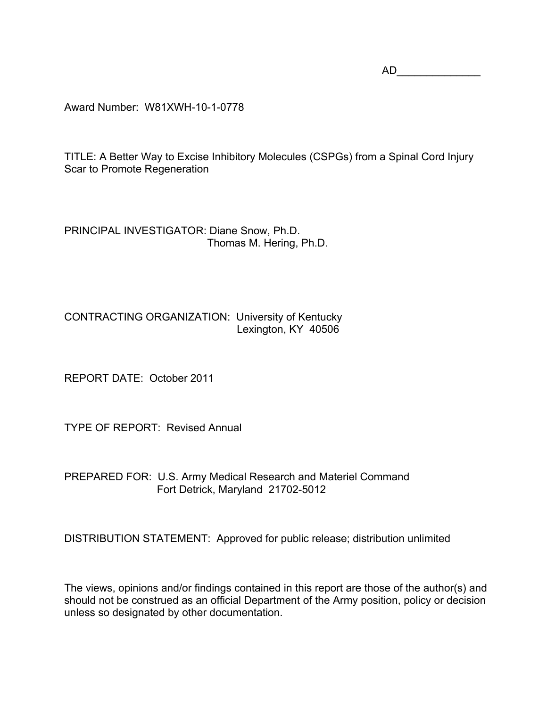AD\_\_\_\_\_\_\_\_\_\_\_\_\_\_

Award Number: W81XWH-10-1-0778

TITLE: A Better Way to Excise Inhibitory Molecules (CSPGs) from a Spinal Cord Injury Scar to Promote Regeneration

PRINCIPAL INVESTIGATOR: Diane Snow, Ph.D. Thomas M. Hering, Ph.D.

CONTRACTING ORGANIZATION: University of Kentucky Lexington, KY 40506

REPORT DATE: October 2011

TYPE OF REPORT: Revised Annual

PREPARED FOR: U.S. Army Medical Research and Materiel Command Fort Detrick, Maryland 21702-5012

DISTRIBUTION STATEMENT: Approved for public release; distribution unlimited

The views, opinions and/or findings contained in this report are those of the author(s) and should not be construed as an official Department of the Army position, policy or decision unless so designated by other documentation.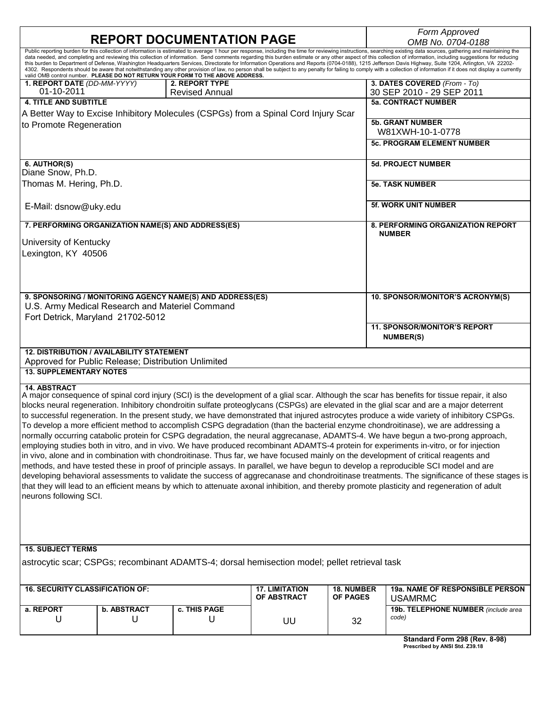| <b>REPORT DOCUMENTATION PAGE</b>          |                                                                                                         |                                                                                                              |                                                                                               |                        | Form Approved                                                                                                                                                                                                                                                                                                                                                                                                                                                  |  |  |  |
|-------------------------------------------|---------------------------------------------------------------------------------------------------------|--------------------------------------------------------------------------------------------------------------|-----------------------------------------------------------------------------------------------|------------------------|----------------------------------------------------------------------------------------------------------------------------------------------------------------------------------------------------------------------------------------------------------------------------------------------------------------------------------------------------------------------------------------------------------------------------------------------------------------|--|--|--|
|                                           |                                                                                                         |                                                                                                              |                                                                                               |                        | OMB No. 0704-0188<br>Public reporting burden for this collection of information is estimated to average 1 hour per response, including the time for reviewing instructions, searching existing data sources, gathering and maintaining the<br>data needed, and completing and reviewing this collection of information. Send comments regarding this burden estimate or any other aspect of this collection of information, including suggestions for reducing |  |  |  |
|                                           |                                                                                                         | valid OMB control number. PLEASE DO NOT RETURN YOUR FORM TO THE ABOVE ADDRESS.                               |                                                                                               |                        | this burden to Department of Defense, Washington Headquarters Services, Directorate for Information Operations and Reports (0704-0188), 1215 Jefferson Davis Highway, Suite 1204, Arlington, VA 22202-<br>4302. Respondents should be aware that notwithstanding any other provision of law, no person shall be subject to any penalty for failing to comply with a collection of information if it does not display a currently                               |  |  |  |
| 1. REPORT DATE (DD-MM-YYYY)<br>01-10-2011 |                                                                                                         | 2. REPORT TYPE<br><b>Revised Annual</b>                                                                      |                                                                                               |                        | 3. DATES COVERED (From - To)<br>30 SEP 2010 - 29 SEP 2011                                                                                                                                                                                                                                                                                                                                                                                                      |  |  |  |
| <b>4. TITLE AND SUBTITLE</b>              |                                                                                                         |                                                                                                              |                                                                                               |                        | <b>5a. CONTRACT NUMBER</b>                                                                                                                                                                                                                                                                                                                                                                                                                                     |  |  |  |
|                                           |                                                                                                         |                                                                                                              | A Better Way to Excise Inhibitory Molecules (CSPGs) from a Spinal Cord Injury Scar            |                        |                                                                                                                                                                                                                                                                                                                                                                                                                                                                |  |  |  |
| to Promote Regeneration                   |                                                                                                         |                                                                                                              |                                                                                               |                        | <b>5b. GRANT NUMBER</b><br>W81XWH-10-1-0778                                                                                                                                                                                                                                                                                                                                                                                                                    |  |  |  |
|                                           |                                                                                                         |                                                                                                              |                                                                                               |                        | <b>5c. PROGRAM ELEMENT NUMBER</b>                                                                                                                                                                                                                                                                                                                                                                                                                              |  |  |  |
| 6. AUTHOR(S)<br>Diane Snow, Ph.D.         |                                                                                                         |                                                                                                              |                                                                                               |                        | <b>5d. PROJECT NUMBER</b>                                                                                                                                                                                                                                                                                                                                                                                                                                      |  |  |  |
| Thomas M. Hering, Ph.D.                   |                                                                                                         |                                                                                                              |                                                                                               |                        | <b>5e. TASK NUMBER</b>                                                                                                                                                                                                                                                                                                                                                                                                                                         |  |  |  |
| E-Mail: dsnow@uky.edu                     |                                                                                                         |                                                                                                              |                                                                                               |                        | <b>5f. WORK UNIT NUMBER</b>                                                                                                                                                                                                                                                                                                                                                                                                                                    |  |  |  |
|                                           |                                                                                                         | 7. PERFORMING ORGANIZATION NAME(S) AND ADDRESS(ES)                                                           |                                                                                               |                        | 8. PERFORMING ORGANIZATION REPORT<br><b>NUMBER</b>                                                                                                                                                                                                                                                                                                                                                                                                             |  |  |  |
| University of Kentucky                    |                                                                                                         |                                                                                                              |                                                                                               |                        |                                                                                                                                                                                                                                                                                                                                                                                                                                                                |  |  |  |
| Lexington, KY 40506                       |                                                                                                         |                                                                                                              |                                                                                               |                        |                                                                                                                                                                                                                                                                                                                                                                                                                                                                |  |  |  |
|                                           |                                                                                                         |                                                                                                              |                                                                                               |                        |                                                                                                                                                                                                                                                                                                                                                                                                                                                                |  |  |  |
|                                           |                                                                                                         | 9. SPONSORING / MONITORING AGENCY NAME(S) AND ADDRESS(ES)<br>U.S. Army Medical Research and Materiel Command |                                                                                               |                        | 10. SPONSOR/MONITOR'S ACRONYM(S)                                                                                                                                                                                                                                                                                                                                                                                                                               |  |  |  |
|                                           | Fort Detrick, Maryland 21702-5012                                                                       |                                                                                                              |                                                                                               |                        |                                                                                                                                                                                                                                                                                                                                                                                                                                                                |  |  |  |
|                                           |                                                                                                         |                                                                                                              |                                                                                               |                        | 11. SPONSOR/MONITOR'S REPORT<br><b>NUMBER(S)</b>                                                                                                                                                                                                                                                                                                                                                                                                               |  |  |  |
|                                           | <b>12. DISTRIBUTION / AVAILABILITY STATEMENT</b><br>Approved for Public Release; Distribution Unlimited |                                                                                                              |                                                                                               |                        |                                                                                                                                                                                                                                                                                                                                                                                                                                                                |  |  |  |
| <b>13. SUPPLEMENTARY NOTES</b>            |                                                                                                         |                                                                                                              |                                                                                               |                        |                                                                                                                                                                                                                                                                                                                                                                                                                                                                |  |  |  |
| <b>14. ABSTRACT</b>                       |                                                                                                         |                                                                                                              |                                                                                               |                        | A major consequence of spinal cord injury (SCI) is the development of a glial scar. Although the scar has benefits for tissue repair, it also                                                                                                                                                                                                                                                                                                                  |  |  |  |
|                                           |                                                                                                         |                                                                                                              |                                                                                               |                        | blocks neural regeneration. Inhibitory chondroitin sulfate proteoglycans (CSPGs) are elevated in the glial scar and are a major deterrent                                                                                                                                                                                                                                                                                                                      |  |  |  |
|                                           |                                                                                                         |                                                                                                              |                                                                                               |                        | to successful regeneration. In the present study, we have demonstrated that injured astrocytes produce a wide variety of inhibitory CSPGs.                                                                                                                                                                                                                                                                                                                     |  |  |  |
|                                           |                                                                                                         |                                                                                                              |                                                                                               |                        | To develop a more efficient method to accomplish CSPG degradation (than the bacterial enzyme chondroitinase), we are addressing a                                                                                                                                                                                                                                                                                                                              |  |  |  |
|                                           |                                                                                                         |                                                                                                              |                                                                                               |                        | normally occurring catabolic protein for CSPG degradation, the neural aggrecanase, ADAMTS-4. We have begun a two-prong approach,                                                                                                                                                                                                                                                                                                                               |  |  |  |
|                                           |                                                                                                         |                                                                                                              |                                                                                               |                        | employing studies both in vitro, and in vivo. We have produced recombinant ADAMTS-4 protein for experiments in-vitro, or for injection<br>in vivo, alone and in combination with chondroitinase. Thus far, we have focused mainly on the development of critical reagents and                                                                                                                                                                                  |  |  |  |
|                                           |                                                                                                         |                                                                                                              |                                                                                               |                        | methods, and have tested these in proof of principle assays. In parallel, we have begun to develop a reproducible SCI model and are                                                                                                                                                                                                                                                                                                                            |  |  |  |
|                                           |                                                                                                         |                                                                                                              |                                                                                               |                        | developing behavioral assessments to validate the success of aggrecanase and chondroitinase treatments. The significance of these stages is                                                                                                                                                                                                                                                                                                                    |  |  |  |
|                                           |                                                                                                         |                                                                                                              |                                                                                               |                        | that they will lead to an efficient means by which to attenuate axonal inhibition, and thereby promote plasticity and regeneration of adult                                                                                                                                                                                                                                                                                                                    |  |  |  |
| neurons following SCI.                    |                                                                                                         |                                                                                                              |                                                                                               |                        |                                                                                                                                                                                                                                                                                                                                                                                                                                                                |  |  |  |
|                                           |                                                                                                         |                                                                                                              |                                                                                               |                        |                                                                                                                                                                                                                                                                                                                                                                                                                                                                |  |  |  |
|                                           |                                                                                                         |                                                                                                              |                                                                                               |                        |                                                                                                                                                                                                                                                                                                                                                                                                                                                                |  |  |  |
|                                           |                                                                                                         |                                                                                                              |                                                                                               |                        |                                                                                                                                                                                                                                                                                                                                                                                                                                                                |  |  |  |
| <b>15. SUBJECT TERMS</b>                  |                                                                                                         |                                                                                                              |                                                                                               |                        |                                                                                                                                                                                                                                                                                                                                                                                                                                                                |  |  |  |
|                                           |                                                                                                         |                                                                                                              | astrocytic scar; CSPGs; recombinant ADAMTS-4; dorsal hemisection model; pellet retrieval task |                        |                                                                                                                                                                                                                                                                                                                                                                                                                                                                |  |  |  |
| <b>16. SECURITY CLASSIFICATION OF:</b>    |                                                                                                         |                                                                                                              | <b>17. LIMITATION</b><br>OF ABSTRACT                                                          | 18. NUMBER<br>OF PAGES | 19a. NAME OF RESPONSIBLE PERSON<br><b>USAMRMC</b>                                                                                                                                                                                                                                                                                                                                                                                                              |  |  |  |
| a. REPORT                                 | <b>b. ABSTRACT</b>                                                                                      | c. THIS PAGE                                                                                                 |                                                                                               |                        | 19b. TELEPHONE NUMBER (include area                                                                                                                                                                                                                                                                                                                                                                                                                            |  |  |  |
| U                                         | U                                                                                                       | U                                                                                                            | UU                                                                                            | 32                     | code)                                                                                                                                                                                                                                                                                                                                                                                                                                                          |  |  |  |
|                                           |                                                                                                         |                                                                                                              |                                                                                               |                        | Standard Form 298 (Rev. 8-98)<br>Prescribed by ANSI Std. Z39.18                                                                                                                                                                                                                                                                                                                                                                                                |  |  |  |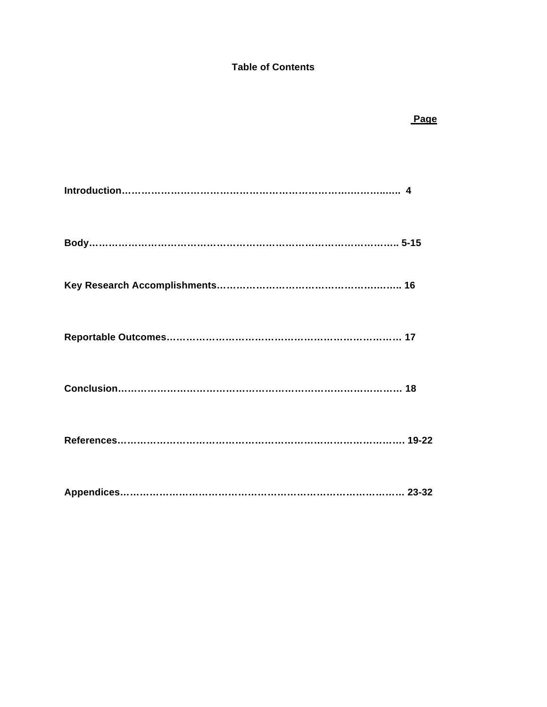# **Table of Contents**

 *Page* Product the Contract of the Contract of the Page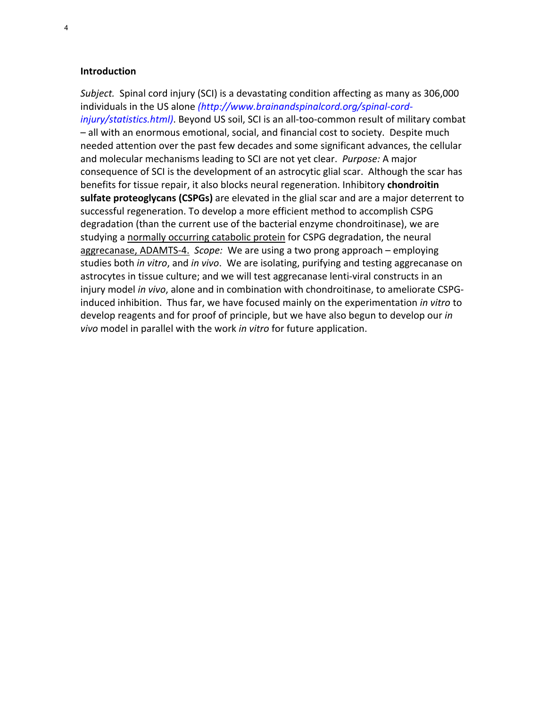#### **Introduction**

Subject. Spinal cord injury (SCI) is a devastating condition affecting as many as 306,000 individuals in the US alone *(http://www.brainandspinalcord.org/spinal-cordinjury/statistics.html)*. Beyond US soil, SCI is an all-too-common result of military combat - all with an enormous emotional, social, and financial cost to society. Despite much needed attention over the past few decades and some significant advances, the cellular and molecular mechanisms leading to SCI are not yet clear. *Purpose:* A major consequence of SCI is the development of an astrocytic glial scar. Although the scar has benefits for tissue repair, it also blocks neural regeneration. Inhibitory **chondroitin** sulfate proteoglycans (CSPGs) are elevated in the glial scar and are a major deterrent to successful regeneration. To develop a more efficient method to accomplish CSPG degradation (than the current use of the bacterial enzyme chondroitinase), we are studying a normally occurring catabolic protein for CSPG degradation, the neural aggrecanase, ADAMTS-4. Scope: We are using a two prong approach – employing studies both *in vitro*, and *in vivo*. We are isolating, purifying and testing aggrecanase on astrocytes in tissue culture; and we will test aggrecanase lenti-viral constructs in an injury model *in vivo*, alone and in combination with chondroitinase, to ameliorate CSPGinduced inhibition.' Thus far, we have focused mainly on the experimentation *in vitro* to develop reagents and for proof of principle, but we have also begun to develop our *in vivo* model in parallel with the work *in vitro* for future application.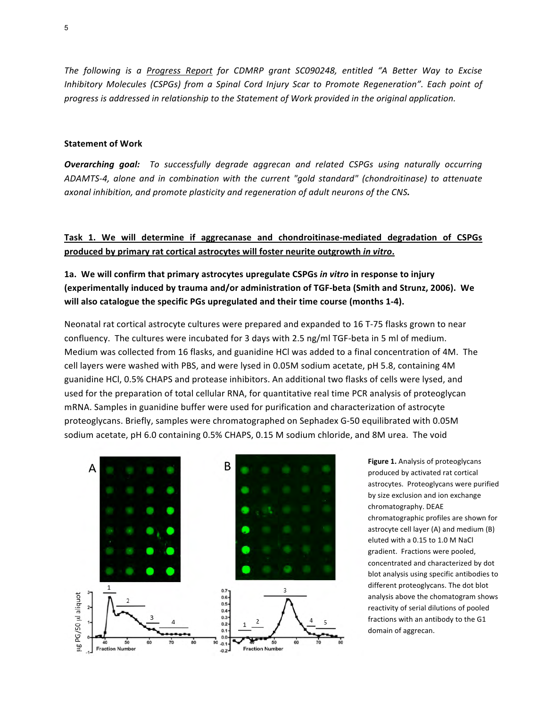*The following is a Progress Report for CDMRP grant SC090248, entitled "A Better Way to Excise Inhibitory Molecules (CSPGs)* from a Spinal Cord Injury Scar to Promote Regeneration". Each point of progress is addressed in relationship to the Statement of Work provided in the original application.

#### **Statement of Work**

*Overarching goal:* To successfully degrade aggrecan and related CSPGs using naturally occurring *ADAMTS-4, alone and in combination with the current "gold standard" (chondroitinase) to attenuate axonal inhibition, and promote plasticity and regeneration of adult neurons of the CNS.* 

#### **Task 1. We will determine if aggrecanase and chondroitinase-mediated degradation of CSPGs** produced by primary rat cortical astrocytes will foster neurite outgrowth *in vitro*.

1a. We will confirm that primary astrocytes upregulate CSPGs in vitro in response to injury (experimentally induced by trauma and/or administration of TGF-beta (Smith and Strunz, 2006). We will also catalogue the specific PGs upregulated and their time course (months 1-4).

Neonatal rat cortical astrocyte cultures were prepared and expanded to 16 T-75 flasks grown to near confluency. The cultures were incubated for 3 days with 2.5 ng/ml TGF-beta in 5 ml of medium. Medium was collected from 16 flasks, and guanidine HCl was added to a final concentration of 4M. The cell layers were washed with PBS, and were lysed in 0.05M sodium acetate, pH 5.8, containing 4M guanidine HCl, 0.5% CHAPS and protease inhibitors. An additional two flasks of cells were lysed, and used for the preparation of total cellular RNA, for quantitative real time PCR analysis of proteoglycan mRNA. Samples in guanidine buffer were used for purification and characterization of astrocyte proteoglycans. Briefly, samples were chromatographed on Sephadex G-50 equilibrated with 0.05M sodium acetate, pH 6.0 containing 0.5% CHAPS, 0.15 M sodium chloride, and 8M urea. The void



Figure 1. Analysis of proteoglycans produced by activated rat cortical astrocytes. Proteoglycans were purified by size exclusion and ion exchange chromatography. DEAE chromatographic profiles are shown for astrocyte cell layer (A) and medium (B) eluted with a 0.15 to 1.0 M NaCl gradient. Fractions were pooled. concentrated and characterized by dot blot analysis using specific antibodies to different proteoglycans. The dot blot analysis above the chomatogram shows reactivity of serial dilutions of pooled fractions with an antibody to the G1 domain of aggrecan.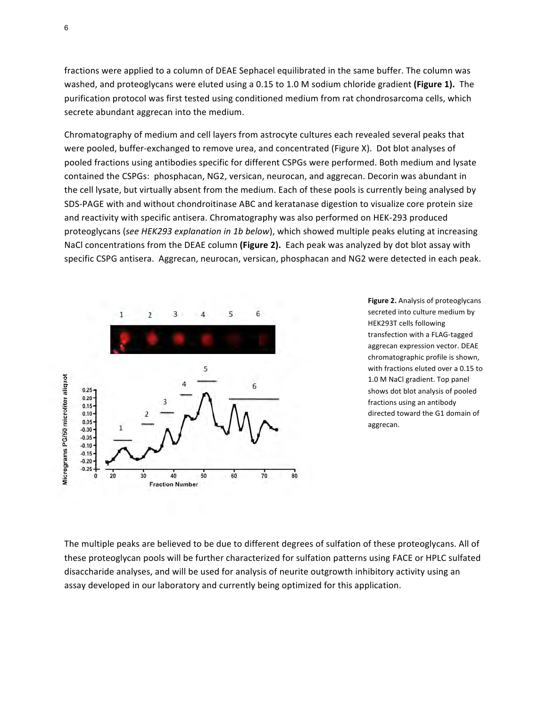fractions were applied to a column of DEAE Sephacel equilibrated in the same buffer. The column was washed, and proteoglycans were eluted using a 0.15 to 1.0 M sodium chloride gradient (Figure 1). The purification protocol was first tested using conditioned medium from rat chondrosarcoma cells, which secrete abundant aggrecan into the medium.

Chromatography of medium and cell layers from astrocyte cultures each revealed several peaks that were pooled, buffer-exchanged to remove urea, and concentrated (Figure X). Dot blot analyses of pooled fractions using antibodies specific for different CSPGs were performed. Both medium and lysate contained the CSPGs: phosphacan, NG2, versican, neurocan, and aggrecan. Decorin was abundant in the cell lysate, but virtually absent from the medium. Each of these pools is currently being analysed by SDS-PAGE with and without chondroitinase ABC and keratanase digestion to visualize core protein size and reactivity with specific antisera. Chromatography was also performed on HEK-293 produced proteoglycans (see HEK293 explanation in 1b below), which showed multiple peaks eluting at increasing NaCl concentrations from the DEAE column (Figure 2). Each peak was analyzed by dot blot assay with specific CSPG antisera. Aggrecan, neurocan, versican, phosphacan and NG2 were detected in each peak.



**Figure 2.** Analysis of proteoglycans secreted into culture medium by HEK293T cells following transfection with a FLAG-tagged aggrecan expression vector. DEAE chromatographic profile is shown, with fractions eluted over a 0.15 to 1.0 M NaCl gradient. Top panel shows dot blot analysis of pooled fractions using an antibody directed toward the G1 domain of aggrecan. 

The multiple peaks are believed to be due to different degrees of sulfation of these proteoglycans. All of these proteoglycan pools will be further characterized for sulfation patterns using FACE or HPLC sulfated disaccharide analyses, and will be used for analysis of neurite outgrowth inhibitory activity using an assay developed in our laboratory and currently being optimized for this application.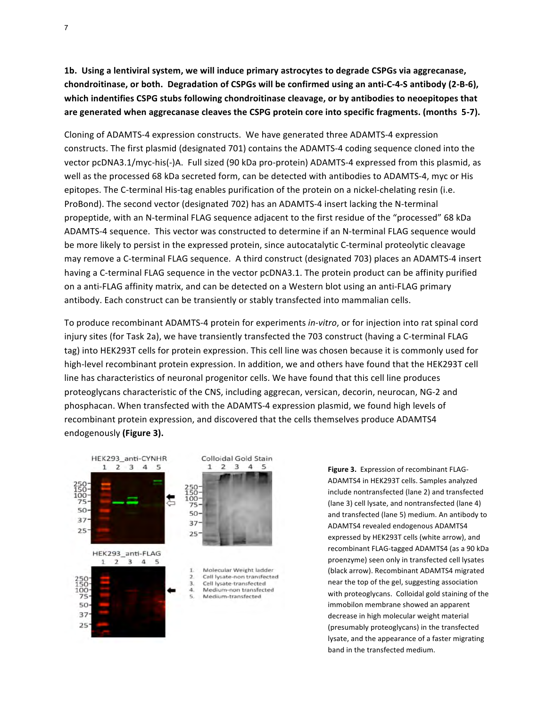**1b.** Using a lentiviral system, we will induce primary astrocytes to degrade CSPGs via aggrecanase, chondroitinase, or both. Degradation of CSPGs will be confirmed using an anti-C-4-S antibody (2-B-6), which indentifies CSPG stubs following chondroitinase cleavage, or by antibodies to neoepitopes that are generated when aggrecanase cleaves the CSPG protein core into specific fragments. (months 5-7).

Cloning of ADAMTS-4 expression constructs. We have generated three ADAMTS-4 expression constructs. The first plasmid (designated 701) contains the ADAMTS-4 coding sequence cloned into the vector pcDNA3.1/myc-his(-)A. Full sized (90 kDa pro-protein) ADAMTS-4 expressed from this plasmid, as well as the processed 68 kDa secreted form, can be detected with antibodies to ADAMTS-4, myc or His epitopes. The C-terminal His-tag enables purification of the protein on a nickel-chelating resin (i.e. ProBond). The second vector (designated 702) has an ADAMTS-4 insert lacking the N-terminal propeptide, with an N-terminal FLAG sequence adjacent to the first residue of the "processed" 68 kDa ADAMTS-4 sequence. This vector was constructed to determine if an N-terminal FLAG sequence would be more likely to persist in the expressed protein, since autocatalytic C-terminal proteolytic cleavage may remove a C-terminal FLAG sequence. A third construct (designated 703) places an ADAMTS-4 insert having a C-terminal FLAG sequence in the vector pcDNA3.1. The protein product can be affinity purified on a anti-FLAG affinity matrix, and can be detected on a Western blot using an anti-FLAG primary antibody. Each construct can be transiently or stably transfected into mammalian cells.

To produce recombinant ADAMTS-4 protein for experiments *in-vitro*, or for injection into rat spinal cord injury sites (for Task 2a), we have transiently transfected the 703 construct (having a C-terminal FLAG tag) into HEK293T cells for protein expression. This cell line was chosen because it is commonly used for high-level recombinant protein expression. In addition, we and others have found that the HEK293T cell line has characteristics of neuronal progenitor cells. We have found that this cell line produces proteoglycans characteristic of the CNS, including aggrecan, versican, decorin, neurocan, NG-2 and phosphacan. When transfected with the ADAMTS-4 expression plasmid, we found high levels of recombinant protein expression, and discovered that the cells themselves produce ADAMTS4 endogenously (Figure 3).



Figure 3. Expression of recombinant FLAG-ADAMTS4 in HEK293T cells. Samples analyzed include nontransfected (lane 2) and transfected (lane 3) cell lysate, and nontransfected (lane 4) and transfected (lane 5) medium. An antibody to ADAMTS4 revealed endogenous ADAMTS4 expressed by HEK293T cells (white arrow), and recombinant FLAG-tagged ADAMTS4 (as a 90 kDa proenzyme) seen only in transfected cell lysates (black arrow). Recombinant ADAMTS4 migrated near the top of the gel, suggesting association with proteoglycans. Colloidal gold staining of the immobilon membrane showed an apparent decrease in high molecular weight material (presumably proteoglycans) in the transfected lysate, and the appearance of a faster migrating band in the transfected medium.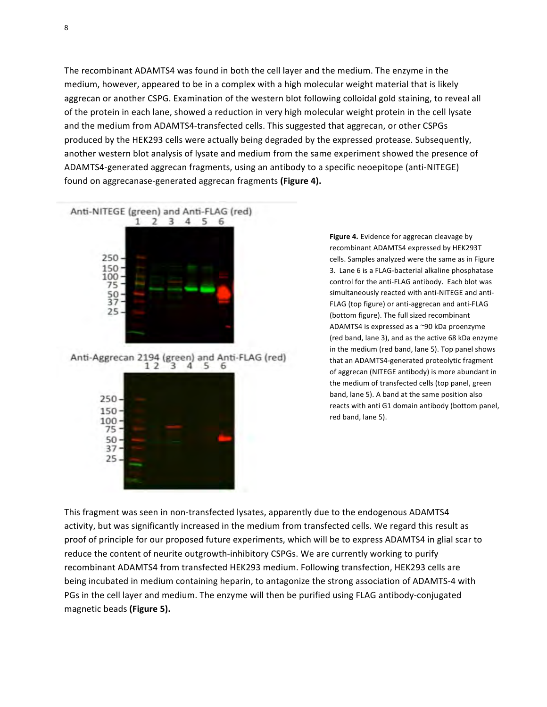The recombinant ADAMTS4 was found in both the cell layer and the medium. The enzyme in the medium, however, appeared to be in a complex with a high molecular weight material that is likely aggrecan or another CSPG. Examination of the western blot following colloidal gold staining, to reveal all of the protein in each lane, showed a reduction in very high molecular weight protein in the cell lysate and the medium from ADAMTS4-transfected cells. This suggested that aggrecan, or other CSPGs produced by the HEK293 cells were actually being degraded by the expressed protease. Subsequently, another western blot analysis of lysate and medium from the same experiment showed the presence of ADAMTS4-generated aggrecan fragments, using an antibody to a specific neoepitope (anti-NITEGE) found on aggrecanase-generated aggrecan fragments (Figure 4).



Anti-Aggrecan 2194 (green) and Anti-FLAG (red)  $12$ 3 4 5 6



Figure 4. Evidence for aggrecan cleavage by recombinant ADAMTS4 expressed by HEK293T cells. Samples analyzed were the same as in Figure 3. Lane 6 is a FLAG-bacterial alkaline phosphatase control for the anti-FLAG antibody. Each blot was simultaneously reacted with anti-NITEGE and anti-FLAG (top figure) or anti-aggrecan and anti-FLAG (bottom figure). The full sized recombinant ADAMTS4 is expressed as a  $\sim$ 90 kDa proenzyme (red band, lane 3), and as the active 68 kDa enzyme in the medium (red band, lane 5). Top panel shows that an ADAMTS4-generated proteolytic fragment of aggrecan (NITEGE antibody) is more abundant in the medium of transfected cells (top panel, green band, lane 5). A band at the same position also reacts with anti G1 domain antibody (bottom panel, red band, lane 5).

This fragment was seen in non-transfected lysates, apparently due to the endogenous ADAMTS4 activity, but was significantly increased in the medium from transfected cells. We regard this result as proof of principle for our proposed future experiments, which will be to express ADAMTS4 in glial scar to reduce the content of neurite outgrowth-inhibitory CSPGs. We are currently working to purify recombinant ADAMTS4 from transfected HEK293 medium. Following transfection, HEK293 cells are being incubated in medium containing heparin, to antagonize the strong association of ADAMTS-4 with PGs in the cell layer and medium. The enzyme will then be purified using FLAG antibody-conjugated magnetic beads (Figure 5).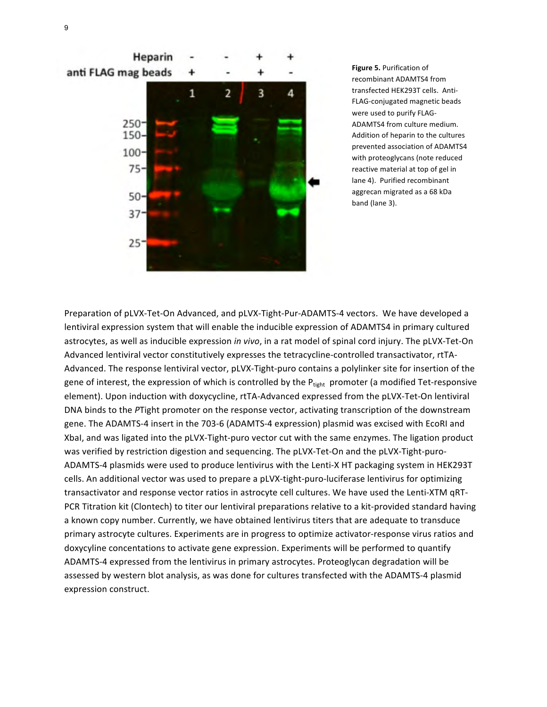

**Figure 5.** Purification of recombinant ADAMTS4 from transfected HEK293T cells. Anti-FLAG-conjugated magnetic beads were used to purify FLAG-ADAMTS4 from culture medium. Addition of heparin to the cultures prevented association of ADAMTS4 with proteoglycans (note reduced reactive material at top of gel in lane 4). Purified recombinant aggrecan migrated as a 68 kDa band (lane 3).

Preparation of pLVX-Tet-On Advanced, and pLVX-Tight-Pur-ADAMTS-4 vectors. We have developed a lentiviral expression system that will enable the inducible expression of ADAMTS4 in primary cultured astrocytes, as well as inducible expression *in vivo*, in a rat model of spinal cord injury. The pLVX-Tet-On Advanced lentiviral vector constitutively expresses the tetracycline-controlled transactivator, rtTA-Advanced. The response lentiviral vector, pLVX-Tight-puro contains a polylinker site for insertion of the gene of interest, the expression of which is controlled by the  $P_{tight}$  promoter (a modified Tet-responsive element). Upon induction with doxycycline, rtTA-Advanced expressed from the pLVX-Tet-On lentiviral DNA binds to the PTight promoter on the response vector, activating transcription of the downstream gene. The ADAMTS-4 insert in the 703-6 (ADAMTS-4 expression) plasmid was excised with EcoRI and XbaI, and was ligated into the pLVX-Tight-puro vector cut with the same enzymes. The ligation product was verified by restriction digestion and sequencing. The pLVX-Tet-On and the pLVX-Tight-puro-ADAMTS-4 plasmids were used to produce lentivirus with the Lenti-X HT packaging system in HEK293T cells. An additional vector was used to prepare a pLVX-tight-puro-luciferase lentivirus for optimizing transactivator and response vector ratios in astrocyte cell cultures. We have used the Lenti-XTM qRT-PCR Titration kit (Clontech) to titer our lentiviral preparations relative to a kit-provided standard having a known copy number. Currently, we have obtained lentivirus titers that are adequate to transduce primary astrocyte cultures. Experiments are in progress to optimize activator-response virus ratios and doxycyline concentations to activate gene expression. Experiments will be performed to quantify ADAMTS-4 expressed from the lentivirus in primary astrocytes. Proteoglycan degradation will be assessed by western blot analysis, as was done for cultures transfected with the ADAMTS-4 plasmid expression construct.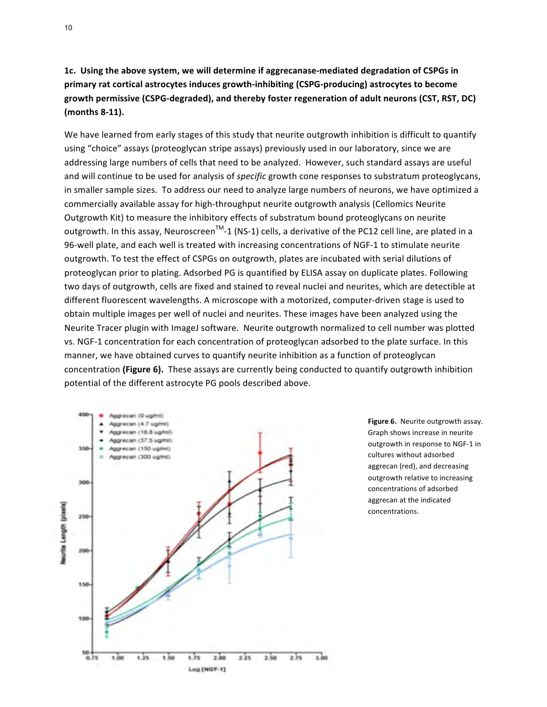# 1c. Using the above system, we will determine if aggrecanase-mediated degradation of CSPGs in primary rat cortical astrocytes induces growth-inhibiting (CSPG-producing) astrocytes to become growth permissive (CSPG-degraded), and thereby foster regeneration of adult neurons (CST, RST, DC) **(months 8-11).**

We have learned from early stages of this study that neurite outgrowth inhibition is difficult to quantify using "choice" assays (proteoglycan stripe assays) previously used in our laboratory, since we are addressing large numbers of cells that need to be analyzed. However, such standard assays are useful and will continue to be used for analysis of *specific* growth cone responses to substratum proteoglycans, in smaller sample sizes. To address our need to analyze large numbers of neurons, we have optimized a commercially available assay for high-throughput neurite outgrowth analysis (Cellomics Neurite Outgrowth Kit) to measure the inhibitory effects of substratum bound proteoglycans on neurite outgrowth. In this assay, Neuroscreen<sup>TM</sup>-1 (NS-1) cells, a derivative of the PC12 cell line, are plated in a 96-well plate, and each well is treated with increasing concentrations of NGF-1 to stimulate neurite outgrowth. To test the effect of CSPGs on outgrowth, plates are incubated with serial dilutions of proteoglycan prior to plating. Adsorbed PG is quantified by ELISA assay on duplicate plates. Following two days of outgrowth, cells are fixed and stained to reveal nuclei and neurites, which are detectible at different fluorescent wavelengths. A microscope with a motorized, computer-driven stage is used to obtain multiple images per well of nuclei and neurites. These images have been analyzed using the Neurite Tracer plugin with ImageJ software. Neurite outgrowth normalized to cell number was plotted vs. NGF-1 concentration for each concentration of proteoglycan adsorbed to the plate surface. In this manner, we have obtained curves to quantify neurite inhibition as a function of proteoglycan concentration (Figure 6). These assays are currently being conducted to quantify outgrowth inhibition potential of the different astrocyte PG pools described above.



Figure 6. Neurite outgrowth assay. Graph shows increase in neurite outgrowth in response to NGF-1 in cultures without adsorbed aggrecan (red), and decreasing outgrowth relative to increasing concentrations of adsorbed aggrecan at the indicated concentrations.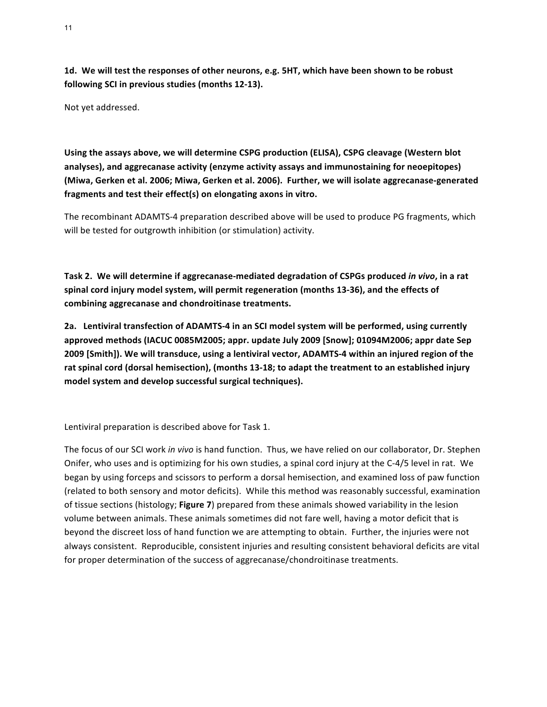**1d.** We will test the responses of other neurons, e.g. 5HT, which have been shown to be robust following SCI in previous studies (months 12-13).

Not yet addressed.

Using the assays above, we will determine CSPG production (ELISA), CSPG cleavage (Western blot analyses), and aggrecanase activity (enzyme activity assays and immunostaining for neoepitopes) (Miwa, Gerken et al. 2006; Miwa, Gerken et al. 2006). Further, we will isolate aggrecanase-generated fragments and test their effect(s) on elongating axons in vitro.

The recombinant ADAMTS-4 preparation described above will be used to produce PG fragments, which will be tested for outgrowth inhibition (or stimulation) activity.

Task 2. We will determine if aggrecanase-mediated degradation of CSPGs produced *in vivo*, in a rat spinal cord injury model system, will permit regeneration (months 13-36), and the effects of **combining aggrecanase and chondroitinase treatments.**

2a. Lentiviral transfection of ADAMTS-4 in an SCI model system will be performed, using currently approved methods (IACUC 0085M2005; appr. update July 2009 [Snow]; 01094M2006; appr date Sep **2009** [Smith]). We will transduce, using a lentiviral vector, ADAMTS-4 within an injured region of the rat spinal cord (dorsal hemisection), (months 13-18; to adapt the treatment to an established injury model system and develop successful surgical techniques).

Lentiviral preparation is described above for Task 1.

The focus of our SCI work *in vivo* is hand function. Thus, we have relied on our collaborator, Dr. Stephen Onifer, who uses and is optimizing for his own studies, a spinal cord injury at the C-4/5 level in rat. We began by using forceps and scissors to perform a dorsal hemisection, and examined loss of paw function (related to both sensory and motor deficits). While this method was reasonably successful, examination of tissue sections (histology; **Figure 7**) prepared from these animals showed variability in the lesion volume between animals. These animals sometimes did not fare well, having a motor deficit that is beyond the discreet loss of hand function we are attempting to obtain. Further, the injuries were not always consistent. Reproducible, consistent injuries and resulting consistent behavioral deficits are vital for proper determination of the success of aggrecanase/chondroitinase treatments.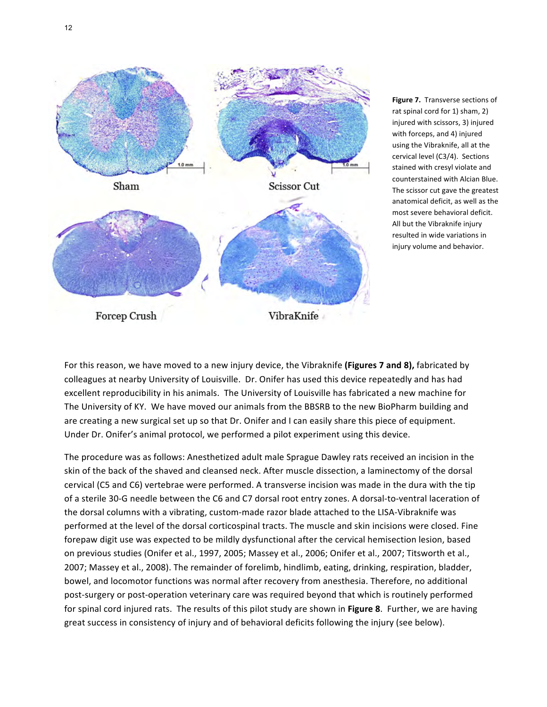

**Figure 7.** Transverse sections of rat spinal cord for 1) sham, 2) injured with scissors, 3) injured with forceps, and 4) injured using the Vibraknife, all at the cervical level (C3/4). Sections stained with cresyl violate and counterstained with Alcian Blue. The scissor cut gave the greatest anatomical deficit, as well as the most severe behavioral deficit. All but the Vibraknife injury resulted in wide variations in injury volume and behavior.

For this reason, we have moved to a new injury device, the Vibraknife (Figures 7 and 8), fabricated by colleagues at nearby University of Louisville. Dr. Onifer has used this device repeatedly and has had excellent reproducibility in his animals. The University of Louisville has fabricated a new machine for The University of KY. We have moved our animals from the BBSRB to the new BioPharm building and are creating a new surgical set up so that Dr. Onifer and I can easily share this piece of equipment. Under Dr. Onifer's animal protocol, we performed a pilot experiment using this device.

The procedure was as follows: Anesthetized adult male Sprague Dawley rats received an incision in the skin of the back of the shaved and cleansed neck. After muscle dissection, a laminectomy of the dorsal cervical (C5 and C6) vertebrae were performed. A transverse incision was made in the dura with the tip of a sterile 30-G needle between the C6 and C7 dorsal root entry zones. A dorsal-to-ventral laceration of the dorsal columns with a vibrating, custom-made razor blade attached to the LISA-Vibraknife was performed at the level of the dorsal corticospinal tracts. The muscle and skin incisions were closed. Fine forepaw digit use was expected to be mildly dysfunctional after the cervical hemisection lesion, based on previous studies (Onifer et al., 1997, 2005; Massey et al., 2006; Onifer et al., 2007; Titsworth et al., 2007; Massey et al., 2008). The remainder of forelimb, hindlimb, eating, drinking, respiration, bladder, bowel, and locomotor functions was normal after recovery from anesthesia. Therefore, no additional post-surgery or post-operation veterinary care was required beyond that which is routinely performed for spinal cord injured rats. The results of this pilot study are shown in Figure 8. Further, we are having great success in consistency of injury and of behavioral deficits following the injury (see below).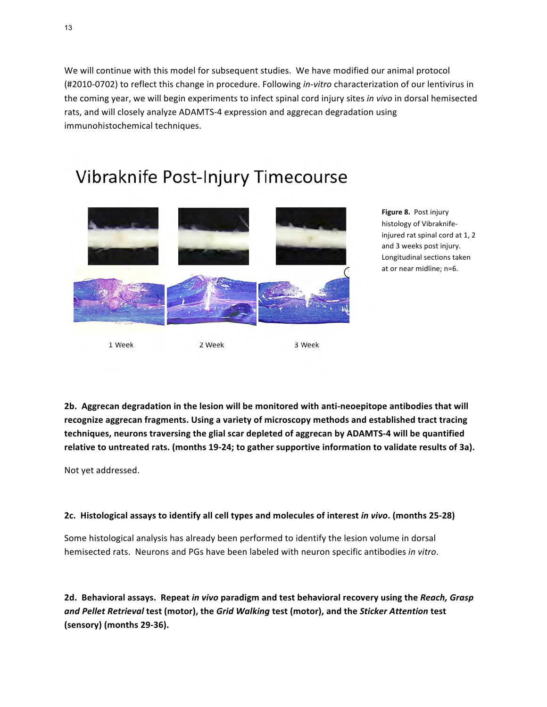We will continue with this model for subsequent studies. We have modified our animal protocol (#2010-0702) to reflect this change in procedure. Following *in-vitro* characterization of our lentivirus in the coming year, we will begin experiments to infect spinal cord injury sites *in vivo* in dorsal hemisected rats, and will closely analyze ADAMTS-4 expression and aggrecan degradation using immunohistochemical techniques.

# Vibraknife Post-Injury Timecourse



**Figure 8. Post injury** histology of Vibraknifeinjured rat spinal cord at 1, 2 and 3 weeks post injury. Longitudinal sections taken at or near midline; n=6.

**2b.** Aggrecan degradation in the lesion will be monitored with anti-neoepitope antibodies that will recognize aggrecan fragments. Using a variety of microscopy methods and established tract tracing techniques, neurons traversing the glial scar depleted of aggrecan by ADAMTS-4 will be quantified relative to untreated rats. (months 19-24; to gather supportive information to validate results of 3a).

Not yet addressed.

#### 2c. Histological assays to identify all cell types and molecules of interest *in vivo*. (months 25-28)

Some histological analysis has already been performed to identify the lesion volume in dorsal hemisected rats. Neurons and PGs have been labeled with neuron specific antibodies in vitro.

2d. Behavioral assays. Repeat in vivo paradigm and test behavioral recovery using the Reach, Grasp and Pellet Retrieval test (motor), the Grid Walking test (motor), and the Sticker Attention test **(sensory) (months 29-36).**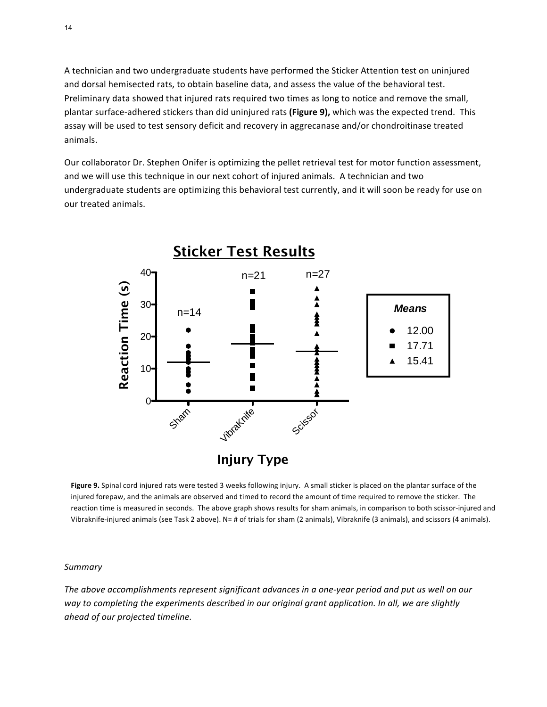A technician and two undergraduate students have performed the Sticker Attention test on uninjured and dorsal hemisected rats, to obtain baseline data, and assess the value of the behavioral test. Preliminary data showed that injured rats required two times as long to notice and remove the small, plantar surface-adhered stickers than did uninjured rats (Figure 9), which was the expected trend. This assay will be used to test sensory deficit and recovery in aggrecanase and/or chondroitinase treated animals.

Our collaborator Dr. Stephen Onifer is optimizing the pellet retrieval test for motor function assessment, and we will use this technique in our next cohort of injured animals. A technician and two undergraduate students are optimizing this behavioral test currently, and it will soon be ready for use on our treated animals.



Figure 9. Spinal cord injured rats were tested 3 weeks following injury. A small sticker is placed on the plantar surface of the injured forepaw, and the animals are observed and timed to record the amount of time required to remove the sticker. The reaction time is measured in seconds. The above graph shows results for sham animals, in comparison to both scissor-injured and Vibraknife-injured animals (see Task 2 above). N= # of trials for sham (2 animals), Vibraknife (3 animals), and scissors (4 animals).

#### *Summary*

The above accomplishments represent significant advances in a one-year period and put us well on our way to completing the experiments described in our original grant application. In all, we are slightly *ahead of our projected timeline.*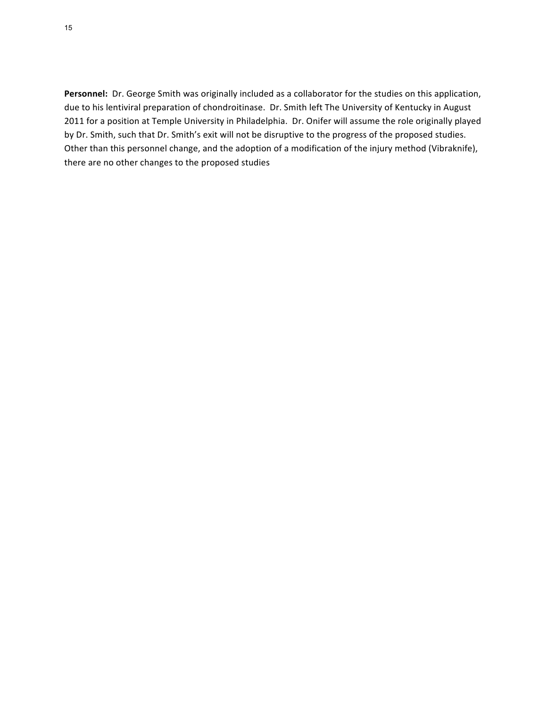Personnel: Dr. George Smith was originally included as a collaborator for the studies on this application, due to his lentiviral preparation of chondroitinase. Dr. Smith left The University of Kentucky in August 2011 for a position at Temple University in Philadelphia. Dr. Onifer will assume the role originally played by Dr. Smith, such that Dr. Smith's exit will not be disruptive to the progress of the proposed studies. Other than this personnel change, and the adoption of a modification of the injury method (Vibraknife), there are no other changes to the proposed studies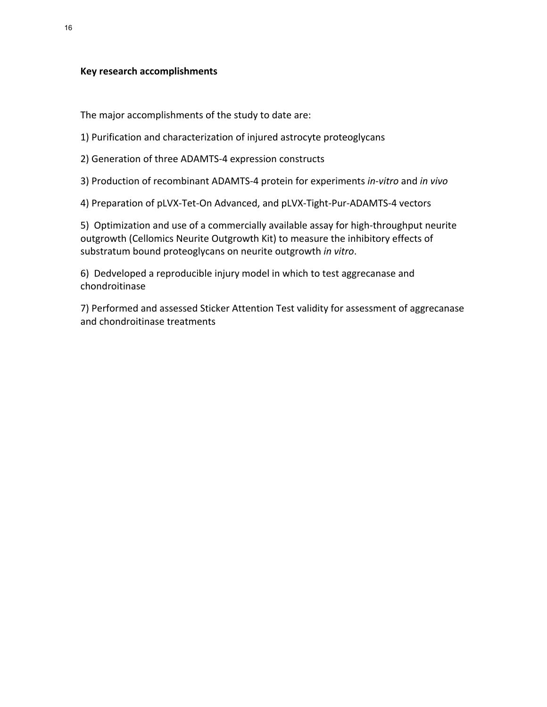#### **Key research accomplishments**

The major accomplishments of the study to date are:

1) Purification and characterization of injured astrocyte proteoglycans

2) Generation of three ADAMTS-4 expression constructs

3) Production of recombinant ADAMTS-4 protein for experiments *in-vitro* and *in vivo* 

4) Preparation of pLVX-Tet-On Advanced, and pLVX-Tight-Pur-ADAMTS-4 vectors

5) Optimization and use of a commercially available assay for high-throughput neurite outgrowth (Cellomics Neurite Outgrowth Kit) to measure the inhibitory effects of substratum bound proteoglycans on neurite outgrowth *in vitro*.

6) Dedveloped a reproducible injury model in which to test aggrecanase and chondroitinase

7) Performed and assessed Sticker Attention Test validity for assessment of aggrecanase and chondroitinase treatments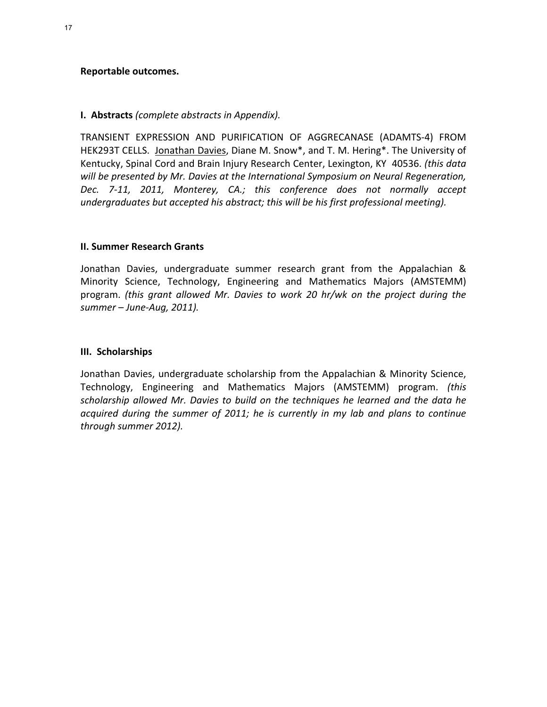#### **Reportable outcomes.**

#### **I. Abstracts** (complete abstracts in Appendix).

TRANSIENT EXPRESSION AND PURIFICATION OF AGGRECANASE (ADAMTS-4) FROM HEK293T CELLS. Jonathan Davies, Diane M. Snow\*, and T. M. Hering\*. The University of Kentucky, Spinal Cord and Brain Injury Research Center, Lexington, KY 40536. (this data will be presented by Mr. Davies at the International Symposium on Neural Regeneration, Dec. 7-11, 2011, Monterey, CA.; this conference does not normally accept *undergraduates but accepted his abstract; this will be his first professional meeting).* 

#### **II. Summer Research Grants**

Jonathan Davies, undergraduate summer research grant from the Appalachian & Minority Science, Technology, Engineering and Mathematics Majors (AMSTEMM) program. (*this grant allowed Mr. Davies to work 20 hr/wk on the project during the* summer – June-Aug, 2011).

#### **III. Scholarships**

Jonathan Davies, undergraduate scholarship from the Appalachian & Minority Science, Technology,( Engineering( and( Mathematics( Majors( (AMSTEMM)( program.( *(this)* scholarship allowed Mr. Davies to build on the techniques he learned and the data he acquired during the summer of 2011; he is currently in my lab and plans to continue through summer 2012).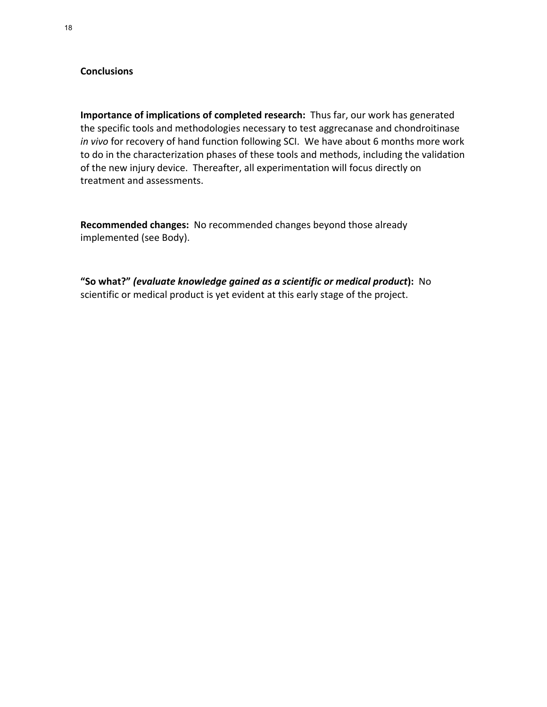## **Conclusions**

**Importance of implications of completed research:** Thus far, our work has generated the specific tools and methodologies necessary to test aggrecanase and chondroitinase *in vivo* for recovery of hand function following SCI. We have about 6 months more work to do in the characterization phases of these tools and methods, including the validation of the new injury device. Thereafter, all experimentation will focus directly on treatment and assessments.

Recommended changes: No recommended changes beyond those already implemented (see Body).

"So what?" (evaluate knowledge gained as a scientific or medical product): No scientific or medical product is yet evident at this early stage of the project.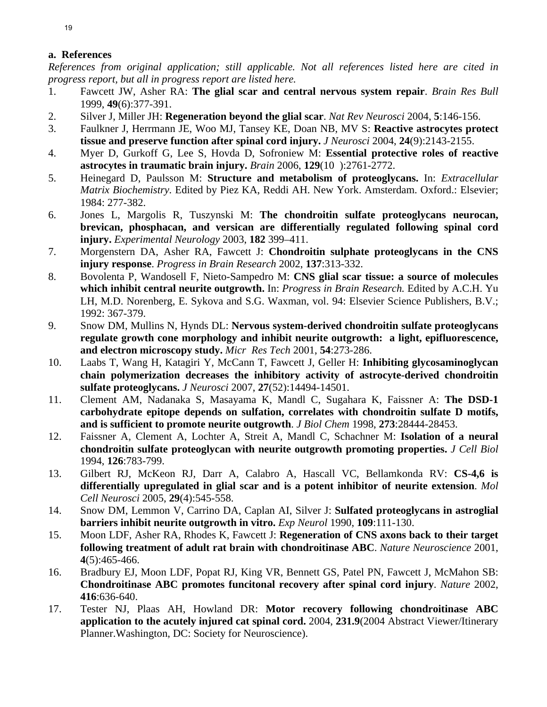# **a. References**

*References from original application; still applicable. Not all references listed here are cited in progress report, but all in progress report are listed here.*

- 1. Fawcett JW, Asher RA: **The glial scar and central nervous system repair**. *Brain Res Bull*  1999, **49**(6):377-391.
- 2. Silver J, Miller JH: **Regeneration beyond the glial scar**. *Nat Rev Neurosci* 2004, **5**:146-156.
- 3. Faulkner J, Herrmann JE, Woo MJ, Tansey KE, Doan NB, MV S: **Reactive astrocytes protect tissue and preserve function after spinal cord injury.** *J Neurosci* 2004, **24**(9):2143-2155.
- 4. Myer D, Gurkoff G, Lee S, Hovda D, Sofroniew M: **Essential protective roles of reactive astrocytes in traumatic brain injury.** *Brain* 2006, **129**(10 ):2761-2772.
- 5. Heinegard D, Paulsson M: **Structure and metabolism of proteoglycans.** In: *Extracellular Matrix Biochemistry.* Edited by Piez KA, Reddi AH. New York. Amsterdam. Oxford.: Elsevier; 1984: 277-382.
- 6. Jones L, Margolis R, Tuszynski M: **The chondroitin sulfate proteoglycans neurocan, brevican, phosphacan, and versican are differentially regulated following spinal cord injury.** *Experimental Neurology* 2003, **182** 399–411.
- 7. Morgenstern DA, Asher RA, Fawcett J: **Chondroitin sulphate proteoglycans in the CNS injury response**. *Progress in Brain Research* 2002, **137**:313-332.
- 8. Bovolenta P, Wandosell F, Nieto-Sampedro M: **CNS glial scar tissue: a source of molecules which inhibit central neurite outgrowth.** In: *Progress in Brain Research.* Edited by A.C.H. Yu LH, M.D. Norenberg, E. Sykova and S.G. Waxman, vol. 94: Elsevier Science Publishers, B.V.; 1992: 367-379.
- 9. Snow DM, Mullins N, Hynds DL: **Nervous system-derived chondroitin sulfate proteoglycans regulate growth cone morphology and inhibit neurite outgrowth: a light, epifluorescence, and electron microscopy study.** *Micr Res Tech* 2001, **54**:273-286.
- 10. Laabs T, Wang H, Katagiri Y, McCann T, Fawcett J, Geller H: **Inhibiting glycosaminoglycan chain polymerization decreases the inhibitory activity of astrocyte-derived chondroitin sulfate proteoglycans.** *J Neurosci* 2007, **27**(52):14494-14501.
- 11. Clement AM, Nadanaka S, Masayama K, Mandl C, Sugahara K, Faissner A: **The DSD-1 carbohydrate epitope depends on sulfation, correlates with chondroitin sulfate D motifs, and is sufficient to promote neurite outgrowth**. *J Biol Chem* 1998, **273**:28444-28453.
- 12. Faissner A, Clement A, Lochter A, Streit A, Mandl C, Schachner M: **Isolation of a neural chondroitin sulfate proteoglycan with neurite outgrowth promoting properties.** *J Cell Biol*  1994, **126**:783-799.
- 13. Gilbert RJ, McKeon RJ, Darr A, Calabro A, Hascall VC, Bellamkonda RV: **CS-4,6 is differentially upregulated in glial scar and is a potent inhibitor of neurite extension**. *Mol Cell Neurosci* 2005, **29**(4):545-558.
- 14. Snow DM, Lemmon V, Carrino DA, Caplan AI, Silver J: **Sulfated proteoglycans in astroglial barriers inhibit neurite outgrowth in vitro.** *Exp Neurol* 1990, **109**:111-130.
- 15. Moon LDF, Asher RA, Rhodes K, Fawcett J: **Regeneration of CNS axons back to their target following treatment of adult rat brain with chondroitinase ABC**. *Nature Neuroscience* 2001, **4**(5):465-466.
- 16. Bradbury EJ, Moon LDF, Popat RJ, King VR, Bennett GS, Patel PN, Fawcett J, McMahon SB: **Chondroitinase ABC promotes funcitonal recovery after spinal cord injury**. *Nature* 2002, **416**:636-640.
- 17. Tester NJ, Plaas AH, Howland DR: **Motor recovery following chondroitinase ABC application to the acutely injured cat spinal cord.** 2004, **231.9**(2004 Abstract Viewer/Itinerary Planner.Washington, DC: Society for Neuroscience).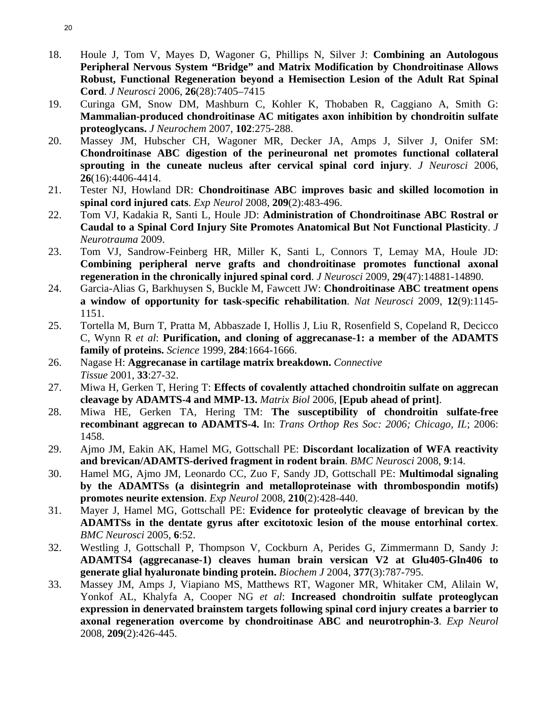- 18. Houle J, Tom V, Mayes D, Wagoner G, Phillips N, Silver J: **Combining an Autologous Peripheral Nervous System "Bridge" and Matrix Modification by Chondroitinase Allows Robust, Functional Regeneration beyond a Hemisection Lesion of the Adult Rat Spinal Cord**. *J Neurosci* 2006, **26**(28):7405–7415
- 19. Curinga GM, Snow DM, Mashburn C, Kohler K, Thobaben R, Caggiano A, Smith G: **Mammalian-produced chondroitinase AC mitigates axon inhibition by chondroitin sulfate proteoglycans.** *J Neurochem* 2007, **102**:275-288.
- 20. Massey JM, Hubscher CH, Wagoner MR, Decker JA, Amps J, Silver J, Onifer SM: **Chondroitinase ABC digestion of the perineuronal net promotes functional collateral sprouting in the cuneate nucleus after cervical spinal cord injury**. *J Neurosci* 2006, **26**(16):4406-4414.
- 21. Tester NJ, Howland DR: **Chondroitinase ABC improves basic and skilled locomotion in spinal cord injured cats**. *Exp Neurol* 2008, **209**(2):483-496.
- 22. Tom VJ, Kadakia R, Santi L, Houle JD: **Administration of Chondroitinase ABC Rostral or Caudal to a Spinal Cord Injury Site Promotes Anatomical But Not Functional Plasticity**. *J Neurotrauma* 2009.
- 23. Tom VJ, Sandrow-Feinberg HR, Miller K, Santi L, Connors T, Lemay MA, Houle JD: **Combining peripheral nerve grafts and chondroitinase promotes functional axonal regeneration in the chronically injured spinal cord**. *J Neurosci* 2009, **29**(47):14881-14890.
- 24. Garcia-Alias G, Barkhuysen S, Buckle M, Fawcett JW: **Chondroitinase ABC treatment opens a window of opportunity for task-specific rehabilitation**. *Nat Neurosci* 2009, **12**(9):1145- 1151.
- 25. Tortella M, Burn T, Pratta M, Abbaszade I, Hollis J, Liu R, Rosenfield S, Copeland R, Decicco C, Wynn R *et al*: **Purification, and cloning of aggrecanase-1: a member of the ADAMTS family of proteins.** *Science* 1999, **284**:1664-1666.
- 26. Nagase H: **Aggrecanase in cartilage matrix breakdown.** *Connective Tissue* 2001, **33**:27-32.
- 27. Miwa H, Gerken T, Hering T: **Effects of covalently attached chondroitin sulfate on aggrecan cleavage by ADAMTS-4 and MMP-13.** *Matrix Biol* 2006, **[Epub ahead of print]**.
- 28. Miwa HE, Gerken TA, Hering TM: **The susceptibility of chondroitin sulfate-free recombinant aggrecan to ADAMTS-4.** In: *Trans Orthop Res Soc: 2006; Chicago, IL*; 2006: 1458.
- 29. Ajmo JM, Eakin AK, Hamel MG, Gottschall PE: **Discordant localization of WFA reactivity and brevican/ADAMTS-derived fragment in rodent brain**. *BMC Neurosci* 2008, **9**:14.
- 30. Hamel MG, Ajmo JM, Leonardo CC, Zuo F, Sandy JD, Gottschall PE: **Multimodal signaling by the ADAMTSs (a disintegrin and metalloproteinase with thrombospondin motifs) promotes neurite extension**. *Exp Neurol* 2008, **210**(2):428-440.
- 31. Mayer J, Hamel MG, Gottschall PE: **Evidence for proteolytic cleavage of brevican by the ADAMTSs in the dentate gyrus after excitotoxic lesion of the mouse entorhinal cortex**. *BMC Neurosci* 2005, **6**:52.
- 32. Westling J, Gottschall P, Thompson V, Cockburn A, Perides G, Zimmermann D, Sandy J: **ADAMTS4 (aggrecanase-1) cleaves human brain versican V2 at Glu405-Gln406 to generate glial hyaluronate binding protein.** *Biochem J* 2004, **377**(3):787-795.
- 33. Massey JM, Amps J, Viapiano MS, Matthews RT, Wagoner MR, Whitaker CM, Alilain W, Yonkof AL, Khalyfa A, Cooper NG *et al*: **Increased chondroitin sulfate proteoglycan expression in denervated brainstem targets following spinal cord injury creates a barrier to axonal regeneration overcome by chondroitinase ABC and neurotrophin-3**. *Exp Neurol*  2008, **209**(2):426-445.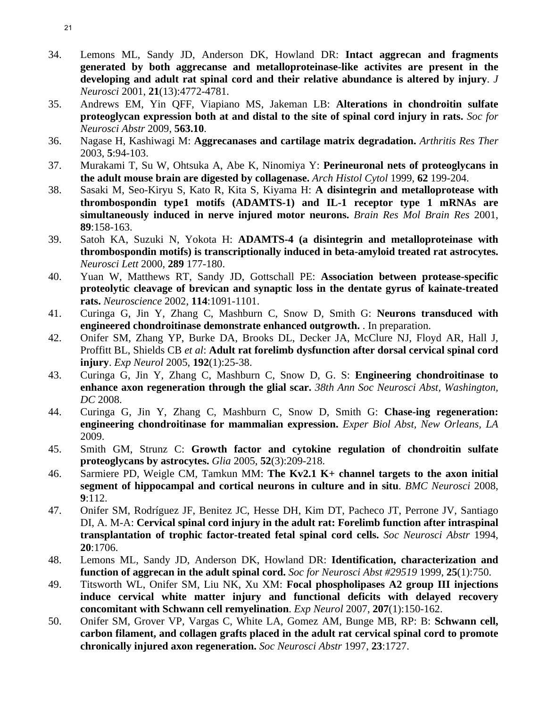- 34. Lemons ML, Sandy JD, Anderson DK, Howland DR: **Intact aggrecan and fragments generated by both aggrecanse and metalloproteinase-like activites are present in the developing and adult rat spinal cord and their relative abundance is altered by injury**. *J Neurosci* 2001, **21**(13):4772-4781.
- 35. Andrews EM, Yin QFF, Viapiano MS, Jakeman LB: **Alterations in chondroitin sulfate proteoglycan expression both at and distal to the site of spinal cord injury in rats.** *Soc for Neurosci Abstr* 2009, **563.10**.
- 36. Nagase H, Kashiwagi M: **Aggrecanases and cartilage matrix degradation.** *Arthritis Res Ther*  2003, **5**:94-103.
- 37. Murakami T, Su W, Ohtsuka A, Abe K, Ninomiya Y: **Perineuronal nets of proteoglycans in the adult mouse brain are digested by collagenase.** *Arch Histol Cytol* 1999, **62** 199-204.
- 38. Sasaki M, Seo-Kiryu S, Kato R, Kita S, Kiyama H: **A disintegrin and metalloprotease with thrombospondin type1 motifs (ADAMTS-1) and IL-1 receptor type 1 mRNAs are simultaneously induced in nerve injured motor neurons.** *Brain Res Mol Brain Res* 2001, **89**:158-163.
- 39. Satoh KA, Suzuki N, Yokota H: **ADAMTS-4 (a disintegrin and metalloproteinase with thrombospondin motifs) is transcriptionally induced in beta-amyloid treated rat astrocytes.** *Neurosci Lett* 2000, **289** 177-180.
- 40. Yuan W, Matthews RT, Sandy JD, Gottschall PE: **Association between protease-specific proteolytic cleavage of brevican and synaptic loss in the dentate gyrus of kainate-treated rats.** *Neuroscience* 2002, **114**:1091-1101.
- 41. Curinga G, Jin Y, Zhang C, Mashburn C, Snow D, Smith G: **Neurons transduced with engineered chondroitinase demonstrate enhanced outgrowth.** . In preparation.
- 42. Onifer SM, Zhang YP, Burke DA, Brooks DL, Decker JA, McClure NJ, Floyd AR, Hall J, Proffitt BL, Shields CB *et al*: **Adult rat forelimb dysfunction after dorsal cervical spinal cord injury**. *Exp Neurol* 2005, **192**(1):25-38.
- 43. Curinga G, Jin Y, Zhang C, Mashburn C, Snow D, G. S: **Engineering chondroitinase to enhance axon regeneration through the glial scar.** *38th Ann Soc Neurosci Abst, Washington, DC* 2008.
- 44. Curinga G, Jin Y, Zhang C, Mashburn C, Snow D, Smith G: **Chase-ing regeneration: engineering chondroitinase for mammalian expression.** *Exper Biol Abst, New Orleans, LA*  2009.
- 45. Smith GM, Strunz C: **Growth factor and cytokine regulation of chondroitin sulfate proteoglycans by astrocytes.** *Glia* 2005, **52**(3):209-218.
- 46. Sarmiere PD, Weigle CM, Tamkun MM: **The Kv2.1 K+ channel targets to the axon initial segment of hippocampal and cortical neurons in culture and in situ**. *BMC Neurosci* 2008, **9**:112.
- 47. Onifer SM, Rodríguez JF, Benitez JC, Hesse DH, Kim DT, Pacheco JT, Perrone JV, Santiago DI, A. M-A: **Cervical spinal cord injury in the adult rat: Forelimb function after intraspinal transplantation of trophic factor-treated fetal spinal cord cells.** *Soc Neurosci Abstr* 1994, **20**:1706.
- 48. Lemons ML, Sandy JD, Anderson DK, Howland DR: **Identification, characterization and function of aggrecan in the adult spinal cord.** *Soc for Neurosci Abst #29519* 1999, **25**(1):750.
- 49. Titsworth WL, Onifer SM, Liu NK, Xu XM: **Focal phospholipases A2 group III injections induce cervical white matter injury and functional deficits with delayed recovery concomitant with Schwann cell remyelination**. *Exp Neurol* 2007, **207**(1):150-162.
- 50. Onifer SM, Grover VP, Vargas C, White LA, Gomez AM, Bunge MB, RP: B: **Schwann cell, carbon filament, and collagen grafts placed in the adult rat cervical spinal cord to promote chronically injured axon regeneration.** *Soc Neurosci Abstr* 1997, **23**:1727.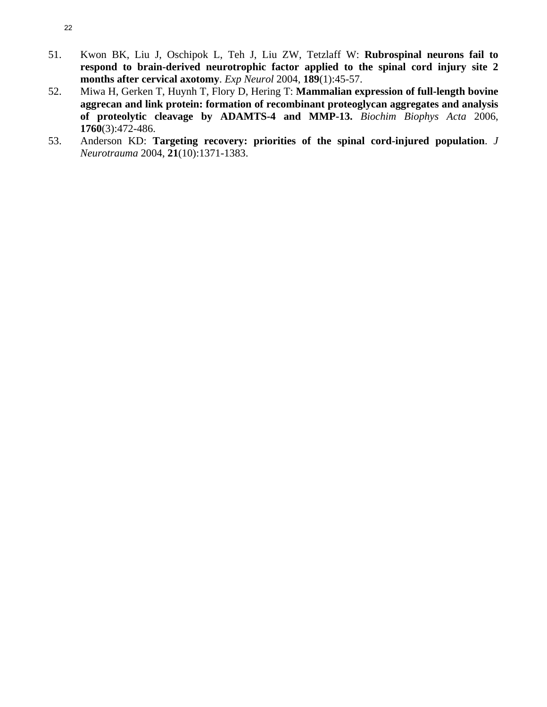- 51. Kwon BK, Liu J, Oschipok L, Teh J, Liu ZW, Tetzlaff W: **Rubrospinal neurons fail to respond to brain-derived neurotrophic factor applied to the spinal cord injury site 2 months after cervical axotomy**. *Exp Neurol* 2004, **189**(1):45-57.
- 52. Miwa H, Gerken T, Huynh T, Flory D, Hering T: **Mammalian expression of full-length bovine aggrecan and link protein: formation of recombinant proteoglycan aggregates and analysis of proteolytic cleavage by ADAMTS-4 and MMP-13.** *Biochim Biophys Acta* 2006, **1760**(3):472-486.
- 53. Anderson KD: **Targeting recovery: priorities of the spinal cord-injured population**. *J Neurotrauma* 2004, **21**(10):1371-1383.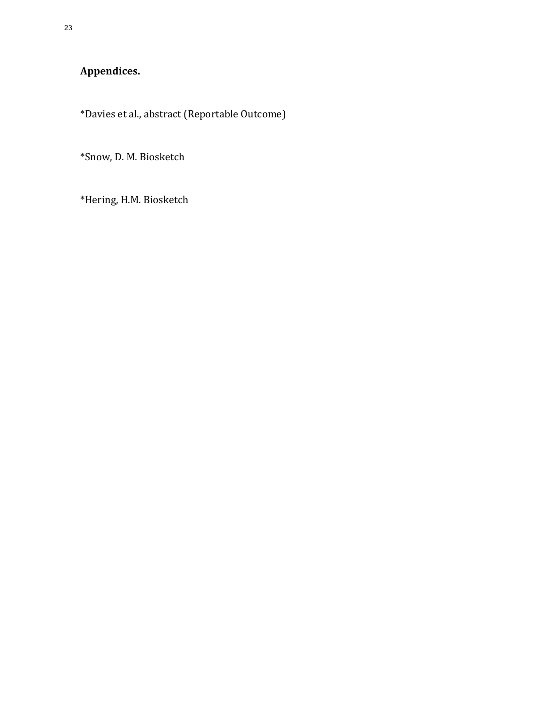**Appendices.**

\*Davies et al., abstract (Reportable Outcome)

\*Snow, D. M. Biosketch

\*Hering, H.M. Biosketch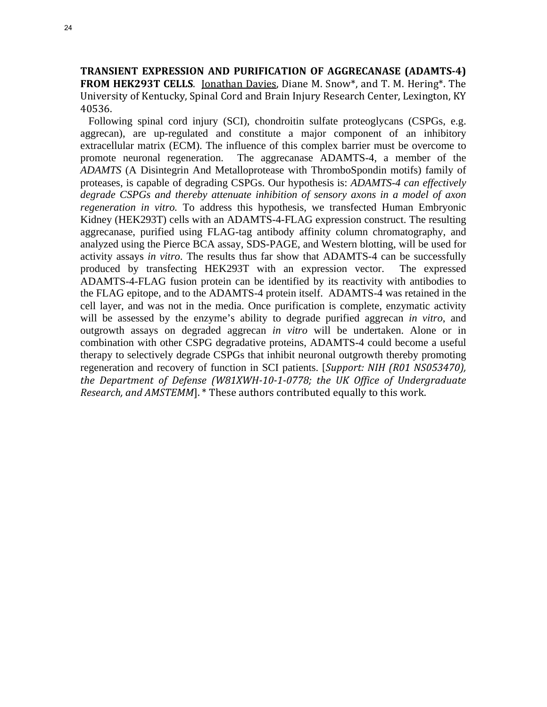**TRANSIENT EXPRESSION AND PURIFICATION OF AGGRECANASE (ADAMTS-4) FROM HEK293T CELLS.** Jonathan Davies, Diane M. Snow\*, and T. M. Hering\*. The University of Kentucky, Spinal Cord and Brain Injury Research Center, Lexington, KY 40536.

 Following spinal cord injury (SCI), chondroitin sulfate proteoglycans (CSPGs, e.g. aggrecan), are up-regulated and constitute a major component of an inhibitory extracellular matrix (ECM). The influence of this complex barrier must be overcome to promote neuronal regeneration. The aggrecanase ADAMTS-4, a member of the *ADAMTS* (A Disintegrin And Metalloprotease with ThromboSpondin motifs) family of proteases, is capable of degrading CSPGs. Our hypothesis is: *ADAMTS-4 can effectively degrade CSPGs and thereby attenuate inhibition of sensory axons in a model of axon regeneration in vitro.* To address this hypothesis, we transfected Human Embryonic Kidney (HEK293T) cells with an ADAMTS-4-FLAG expression construct. The resulting aggrecanase, purified using FLAG-tag antibody affinity column chromatography, and analyzed using the Pierce BCA assay, SDS-PAGE, and Western blotting, will be used for activity assays *in vitro*. The results thus far show that ADAMTS-4 can be successfully produced by transfecting HEK293T with an expression vector. The expressed ADAMTS-4-FLAG fusion protein can be identified by its reactivity with antibodies to the FLAG epitope, and to the ADAMTS-4 protein itself. ADAMTS-4 was retained in the cell layer, and was not in the media. Once purification is complete, enzymatic activity will be assessed by the enzyme's ability to degrade purified aggrecan *in vitro*, and outgrowth assays on degraded aggrecan *in vitro* will be undertaken. Alone or in combination with other CSPG degradative proteins, ADAMTS-4 could become a useful therapy to selectively degrade CSPGs that inhibit neuronal outgrowth thereby promoting regeneration and recovery of function in SCI patients. [Support: NIH (R01 NS053470), the Department of Defense (W81XWH-10-1-0778; the UK Office of Undergraduate *Research, and AMSTEMM*]. \* These authors contributed equally to this work.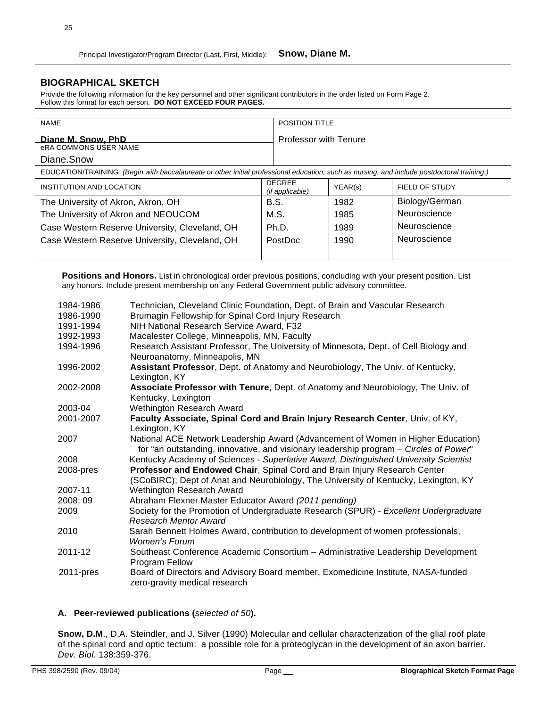## **BIOGRAPHICAL SKETCH**

Provide the following information for the key personnel and other significant contributors in the order listed on Form Page 2. Follow this format for each person. **DO NOT EXCEED FOUR PAGES.**

| <b>NAME</b>                                                                                                                                |                                  | <b>POSITION TITLE</b>        |                |  |
|--------------------------------------------------------------------------------------------------------------------------------------------|----------------------------------|------------------------------|----------------|--|
| Diane M. Snow, PhD                                                                                                                         |                                  | <b>Professor with Tenure</b> |                |  |
| <b>eRA COMMONS USER NAME</b>                                                                                                               |                                  |                              |                |  |
| Diane.Snow                                                                                                                                 |                                  |                              |                |  |
| EDUCATION/TRAINING (Begin with baccalaureate or other initial professional education, such as nursing, and include postdoctoral training.) |                                  |                              |                |  |
| INSTITUTION AND LOCATION                                                                                                                   | <b>DEGREE</b><br>(if applicable) | YEAR(s)                      | FIELD OF STUDY |  |
| The University of Akron, Akron, OH                                                                                                         | B.S.                             | 1982                         | Biology/German |  |
| The University of Akron and NEOUCOM                                                                                                        | M.S.                             | 1985                         | Neuroscience   |  |
| Case Western Reserve University, Cleveland, OH                                                                                             | Ph.D.                            | 1989                         | Neuroscience   |  |
| Case Western Reserve University, Cleveland, OH                                                                                             | PostDoc                          | 1990                         | Neuroscience   |  |
|                                                                                                                                            |                                  |                              |                |  |

**Positions and Honors.** List in chronological order previous positions, concluding with your present position. List any honors. Include present membership on any Federal Government public advisory committee.

| Technician, Cleveland Clinic Foundation, Dept. of Brain and Vascular Research                                                                                             |
|---------------------------------------------------------------------------------------------------------------------------------------------------------------------------|
| Brumagin Fellowship for Spinal Cord Injury Research                                                                                                                       |
| NIH National Research Service Award, F32                                                                                                                                  |
| Macalester College, Minneapolis, MN, Faculty                                                                                                                              |
| Research Assistant Professor, The University of Minnesota, Dept. of Cell Biology and                                                                                      |
| Neuroanatomy, Minneapolis, MN                                                                                                                                             |
| Assistant Professor, Dept. of Anatomy and Neurobiology, The Univ. of Kentucky,<br>Lexington, KY                                                                           |
| Associate Professor with Tenure, Dept. of Anatomy and Neurobiology, The Univ. of<br>Kentucky, Lexington                                                                   |
| Wethington Research Award                                                                                                                                                 |
| Faculty Associate, Spinal Cord and Brain Injury Research Center, Univ. of KY,                                                                                             |
| Lexington, KY                                                                                                                                                             |
| National ACE Network Leadership Award (Advancement of Women in Higher Education)<br>for "an outstanding, innovative, and visionary leadership program - Circles of Power" |
| Kentucky Academy of Sciences - Superlative Award, Distinguished University Scientist                                                                                      |
| Professor and Endowed Chair, Spinal Cord and Brain Injury Research Center<br>(SCoBIRC); Dept of Anat and Neurobiology, The University of Kentucky, Lexington, KY          |
| Wethington Research Award                                                                                                                                                 |
| Abraham Flexner Master Educator Award (2011 pending)                                                                                                                      |
| Society for the Promotion of Undergraduate Research (SPUR) - Excellent Undergraduate<br><b>Research Mentor Award</b>                                                      |
| Sarah Bennett Holmes Award, contribution to development of women professionals,<br><b>Women's Forum</b>                                                                   |
| Southeast Conference Academic Consortium - Administrative Leadership Development<br>Program Fellow                                                                        |
| Board of Directors and Advisory Board member, Exomedicine Institute, NASA-funded<br>zero-gravity medical research                                                         |
|                                                                                                                                                                           |

#### **A. Peer-reviewed publications (***selected of 50***).**

**Snow, D.M**., D.A. Steindler, and J. Silver (1990) Molecular and cellular characterization of the glial roof plate of the spinal cord and optic tectum: a possible role for a proteoglycan in the development of an axon barrier. *Dev. Biol*. 138:359-376.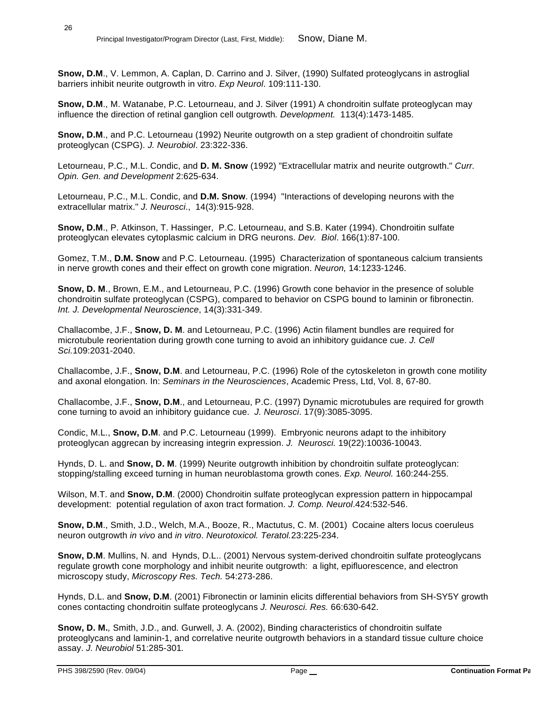**Snow, D.M**., V. Lemmon, A. Caplan, D. Carrino and J. Silver, (1990) Sulfated proteoglycans in astroglial barriers inhibit neurite outgrowth in vitro. *Exp Neurol*. 109:111-130.

**Snow, D.M**., M. Watanabe, P.C. Letourneau, and J. Silver (1991) A chondroitin sulfate proteoglycan may influence the direction of retinal ganglion cell outgrowth*. Development.* 113(4):1473-1485.

**Snow, D.M**., and P.C. Letourneau (1992) Neurite outgrowth on a step gradient of chondroitin sulfate proteoglycan (CSPG). *J. Neurobiol*. 23:322-336.

Letourneau, P.C., M.L. Condic, and **D. M. Snow** (1992) "Extracellular matrix and neurite outgrowth." *Curr. Opin. Gen. and Development* 2:625-634.

Letourneau, P.C., M.L. Condic, and **D.M. Snow**. (1994) "Interactions of developing neurons with the extracellular matrix." *J. Neurosci*., 14(3):915-928.

**Snow, D.M**., P. Atkinson, T. Hassinger, P.C. Letourneau, and S.B. Kater (1994). Chondroitin sulfate proteoglycan elevates cytoplasmic calcium in DRG neurons. *Dev. Biol*. 166(1):87-100.

Gomez, T.M., **D.M. Snow** and P.C. Letourneau. (1995) Characterization of spontaneous calcium transients in nerve growth cones and their effect on growth cone migration. *Neuron,* 14:1233-1246.

**Snow, D. M**., Brown, E.M., and Letourneau, P.C. (1996) Growth cone behavior in the presence of soluble chondroitin sulfate proteoglycan (CSPG), compared to behavior on CSPG bound to laminin or fibronectin. *Int. J. Developmental Neuroscience*, 14(3):331-349.

Challacombe, J.F., **Snow, D. M**. and Letourneau, P.C. (1996) Actin filament bundles are required for microtubule reorientation during growth cone turning to avoid an inhibitory guidance cue. *J. Cell Sci.*109:2031-2040.

Challacombe, J.F., **Snow, D.M**. and Letourneau, P.C. (1996) Role of the cytoskeleton in growth cone motility and axonal elongation. In: *Seminars in the Neurosciences*, Academic Press, Ltd, Vol. 8, 67-80.

Challacombe, J.F., **Snow, D.M**., and Letourneau, P.C. (1997) Dynamic microtubules are required for growth cone turning to avoid an inhibitory guidance cue. *J. Neurosci*. 17(9):3085-3095.

Condic, M.L., **Snow, D.M**. and P.C. Letourneau (1999). Embryonic neurons adapt to the inhibitory proteoglycan aggrecan by increasing integrin expression. *J. Neurosci.* 19(22):10036-10043.

Hynds, D. L. and **Snow, D. M**. (1999) Neurite outgrowth inhibition by chondroitin sulfate proteoglycan: stopping/stalling exceed turning in human neuroblastoma growth cones. *Exp. Neurol.* 160:244-255.

Wilson, M.T. and **Snow, D.M**. (2000) Chondroitin sulfate proteoglycan expression pattern in hippocampal development: potential regulation of axon tract formation. *J. Comp. Neurol*.424:532-546.

**Snow, D.M**., Smith, J.D., Welch, M.A., Booze, R., Mactutus, C. M. (2001) Cocaine alters locus coeruleus neuron outgrowth *in vivo* and *in vitro*. *Neurotoxicol. Teratol.*23:225-234.

**Snow, D.M**. Mullins, N. and Hynds, D.L.. (2001) Nervous system-derived chondroitin sulfate proteoglycans regulate growth cone morphology and inhibit neurite outgrowth: a light, epifluorescence, and electron microscopy study, *Microscopy Res. Tech.* 54:273-286.

Hynds, D.L. and **Snow, D.M**. (2001) Fibronectin or laminin elicits differential behaviors from SH-SY5Y growth cones contacting chondroitin sulfate proteoglycans *J. Neurosci. Res.* 66:630-642.

**Snow, D. M.***,* Smith, J.D., and*.* Gurwell, J. A. (2002), Binding characteristics of chondroitin sulfate proteoglycans and laminin-1, and correlative neurite outgrowth behaviors in a standard tissue culture choice assay. *J. Neurobiol* 51:285-301*.*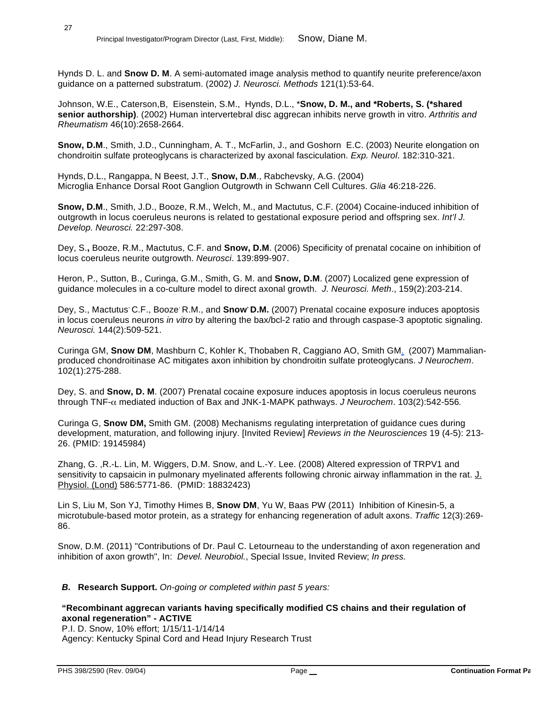27

Hynds D. L. and **Snow D. M**. A semi-automated image analysis method to quantify neurite preference/axon guidance on a patterned substratum. (2002) *J. Neurosci. Methods* 121(1):53-64.

Johnson, W.E., Caterson,B, Eisenstein, S.M., Hynds, D.L., \***Snow, D. M., and \*Roberts, S. (\*shared senior authorship)**. (2002) Human intervertebral disc aggrecan inhibits nerve growth in vitro. *Arthritis and Rheumatism* 46(10):2658-2664.

**Snow, D.M**., Smith, J.D., Cunningham, A. T., McFarlin, J., and Goshorn E.C. (2003) Neurite elongation on chondroitin sulfate proteoglycans is characterized by axonal fasciculation. *Exp. Neurol*. 182:310-321.

Hynds, D.L., Rangappa, N Beest, J.T., **Snow, D.M**., Rabchevsky, A.G. (2004) Microglia Enhance Dorsal Root Ganglion Outgrowth in Schwann Cell Cultures. *Glia* 46:218-226.

**Snow, D.M**., Smith, J.D., Booze, R.M., Welch, M., and Mactutus, C.F. (2004) Cocaine-induced inhibition of outgrowth in locus coeruleus neurons is related to gestational exposure period and offspring sex. *Int'l J. Develop. Neurosci.* 22:297-308.

Dey, S.**,** Booze, R.M., Mactutus, C.F. and **Snow, D.M**. (2006) Specificity of prenatal cocaine on inhibition of locus coeruleus neurite outgrowth. *Neurosci*. 139:899-907.

Heron, P., Sutton, B., Curinga, G.M., Smith, G. M. and **Snow, D.M**. (2007) Localized gene expression of guidance molecules in a co-culture model to direct axonal growth. *J. Neurosci. Meth*., 159(2):203-214.

Dey, S., Mactutus' C.F., Booze' R.M., and **Snow' D.M.** (2007) Prenatal cocaine exposure induces apoptosis in locus coeruleus neurons *in vitro* by altering the bax/bcl-2 ratio and through caspase-3 apoptotic signaling. *Neurosci.* 144(2):509-521.

Curinga GM, **Snow DM**, Mashburn C, Kohler K, Thobaben R, Caggiano AO, Smith GM. (2007) Mammalianproduced chondroitinase AC mitigates axon inhibition by chondroitin sulfate proteoglycans. *J Neurochem*. 102(1):275-288.

Dey, S. and **Snow, D. M**. (2007) Prenatal cocaine exposure induces apoptosis in locus coeruleus neurons through TNF-α mediated induction of Bax and JNK-1-MAPK pathways. *J Neurochem*. 103(2):542-556*.* 

Curinga G, **Snow DM,** Smith GM. (2008) Mechanisms regulating interpretation of guidance cues during development, maturation, and following injury. [Invited Review] *Reviews in the Neurosciences* 19 (4-5): 213- 26. (PMID: 19145984)

Zhang, G. ,R.-L. Lin, M. Wiggers, D.M. Snow, and L.-Y. Lee. (2008) Altered expression of TRPV1 and sensitivity to capsaicin in pulmonary myelinated afferents following chronic airway inflammation in the rat. J. Physiol. (Lond) 586:5771-86. (PMID: 18832423)

Lin S, Liu M, Son YJ, Timothy Himes B, **Snow DM**, Yu W, Baas PW (2011) Inhibition of Kinesin-5, a microtubule-based motor protein, as a strategy for enhancing regeneration of adult axons. *Traffic* 12(3):269- 86.

Snow, D.M. (2011) "Contributions of Dr. Paul C. Letourneau to the understanding of axon regeneration and inhibition of axon growth", In: *Devel. Neurobiol.*, Special Issue, Invited Review; *In press.*

#### *B.* **Research Support.** *On-going or completed within past 5 years:*

#### **"Recombinant aggrecan variants having specifically modified CS chains and their regulation of axonal regeneration" - ACTIVE**

P.I. D. Snow, 10% effort; 1/15/11-1/14/14 Agency: Kentucky Spinal Cord and Head Injury Research Trust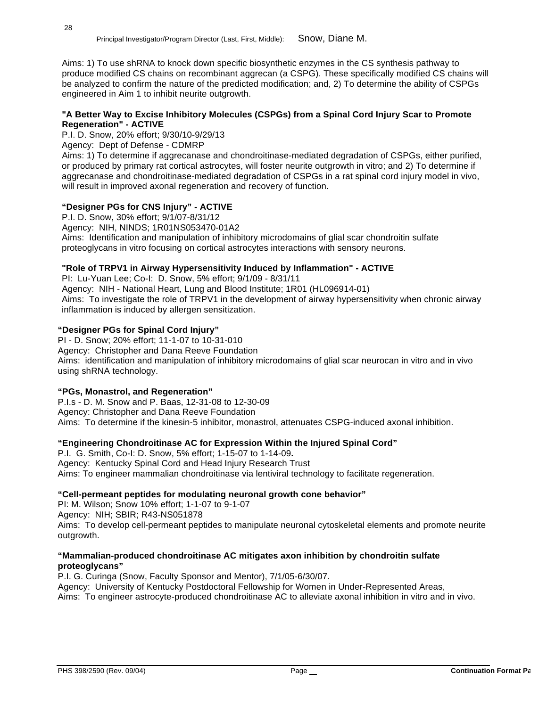Aims: 1) To use shRNA to knock down specific biosynthetic enzymes in the CS synthesis pathway to produce modified CS chains on recombinant aggrecan (a CSPG). These specifically modified CS chains will be analyzed to confirm the nature of the predicted modification; and, 2) To determine the ability of CSPGs engineered in Aim 1 to inhibit neurite outgrowth.

#### **"A Better Way to Excise Inhibitory Molecules (CSPGs) from a Spinal Cord Injury Scar to Promote Regeneration" - ACTIVE**

P.I. D. Snow, 20% effort; 9/30/10-9/29/13

Agency: Dept of Defense - CDMRP

Aims: 1) To determine if aggrecanase and chondroitinase-mediated degradation of CSPGs, either purified, or produced by primary rat cortical astrocytes, will foster neurite outgrowth in vitro; and 2) To determine if aggrecanase and chondroitinase-mediated degradation of CSPGs in a rat spinal cord injury model in vivo, will result in improved axonal regeneration and recovery of function.

#### **"Designer PGs for CNS Injury" - ACTIVE**

P.I. D. Snow, 30% effort; 9/1/07-8/31/12 Agency: NIH, NINDS; 1R01NS053470-01A2 Aims: Identification and manipulation of inhibitory microdomains of glial scar chondroitin sulfate proteoglycans in vitro focusing on cortical astrocytes interactions with sensory neurons.

#### **"Role of TRPV1 in Airway Hypersensitivity Induced by Inflammation" - ACTIVE**

PI: Lu-Yuan Lee; Co-I: D. Snow, 5% effort; 9/1/09 - 8/31/11

Agency: NIH - National Heart, Lung and Blood Institute; 1R01 (HL096914-01) Aims: To investigate the role of TRPV1 in the development of airway hypersensitivity when chronic airway inflammation is induced by allergen sensitization.

#### **"Designer PGs for Spinal Cord Injury"**

PI - D. Snow; 20% effort; 11-1-07 to 10-31-010 Agency: Christopher and Dana Reeve Foundation Aims: identification and manipulation of inhibitory microdomains of glial scar neurocan in vitro and in vivo using shRNA technology.

#### **"PGs, Monastrol, and Regeneration"**

P.I.s - D. M. Snow and P. Baas, 12-31-08 to 12-30-09 Agency: Christopher and Dana Reeve Foundation Aims: To determine if the kinesin-5 inhibitor, monastrol, attenuates CSPG-induced axonal inhibition.

#### **"Engineering Chondroitinase AC for Expression Within the Injured Spinal Cord"**

P.I. G. Smith, Co-I: D. Snow, 5% effort; 1-15-07 to 1-14-09**.** Agency: Kentucky Spinal Cord and Head Injury Research Trust Aims: To engineer mammalian chondroitinase via lentiviral technology to facilitate regeneration.

#### **"Cell-permeant peptides for modulating neuronal growth cone behavior"**

PI: M. Wilson; Snow 10% effort; 1-1-07 to 9-1-07 Agency: NIH; SBIR; R43-NS051878 Aims: To develop cell-permeant peptides to manipulate neuronal cytoskeletal elements and promote neurite outgrowth.

#### **"Mammalian-produced chondroitinase AC mitigates axon inhibition by chondroitin sulfate proteoglycans"**

P.I. G. Curinga (Snow, Faculty Sponsor and Mentor), 7/1/05-6/30/07. Agency: University of Kentucky Postdoctoral Fellowship for Women in Under-Represented Areas, Aims: To engineer astrocyte-produced chondroitinase AC to alleviate axonal inhibition in vitro and in vivo.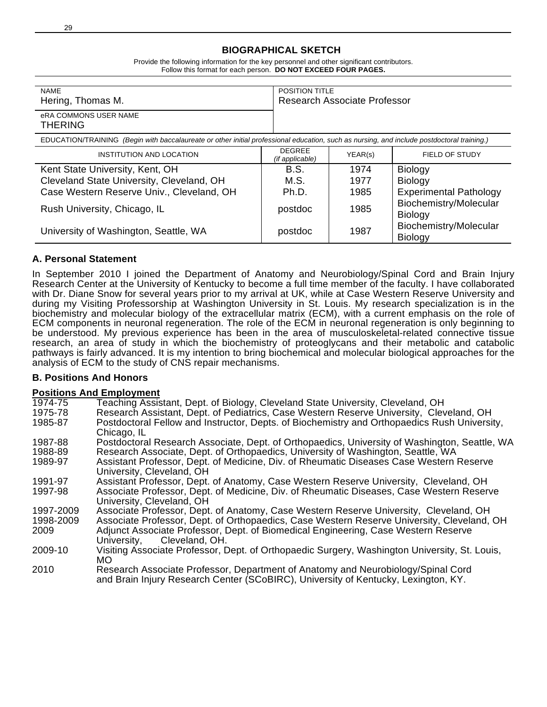#### **BIOGRAPHICAL SKETCH**

Provide the following information for the key personnel and other significant contributors. Follow this format for each person. **DO NOT EXCEED FOUR PAGES.**

| <b>NAME</b><br>Hering, Thomas M.                                                                                                           |                                  | <b>POSITION TITLE</b><br>Research Associate Professor |                                          |  |
|--------------------------------------------------------------------------------------------------------------------------------------------|----------------------------------|-------------------------------------------------------|------------------------------------------|--|
| <b>eRA COMMONS USER NAME</b><br><b>THERING</b>                                                                                             |                                  |                                                       |                                          |  |
| EDUCATION/TRAINING (Begin with baccalaureate or other initial professional education, such as nursing, and include postdoctoral training.) |                                  |                                                       |                                          |  |
| INSTITUTION AND LOCATION                                                                                                                   | <b>DEGREE</b><br>(if applicable) | YEAR(s)                                               | FIELD OF STUDY                           |  |
| Kent State University, Kent, OH                                                                                                            | B.S.                             | 1974                                                  | <b>Biology</b>                           |  |
| Cleveland State University, Cleveland, OH                                                                                                  | M.S.                             | 1977                                                  | <b>Biology</b>                           |  |
| Case Western Reserve Univ., Cleveland, OH                                                                                                  | Ph.D.                            | 1985                                                  | <b>Experimental Pathology</b>            |  |
| Rush University, Chicago, IL                                                                                                               | postdoc                          | 1985                                                  | Biochemistry/Molecular<br><b>Biology</b> |  |
| University of Washington, Seattle, WA                                                                                                      | postdoc                          | 1987                                                  | Biochemistry/Molecular<br><b>Biology</b> |  |

#### **A. Personal Statement**

29

In September 2010 I joined the Department of Anatomy and Neurobiology/Spinal Cord and Brain Injury Research Center at the University of Kentucky to become a full time member of the faculty. I have collaborated with Dr. Diane Snow for several years prior to my arrival at UK, while at Case Western Reserve University and during my Visiting Professorship at Washington University in St. Louis. My research specialization is in the biochemistry and molecular biology of the extracellular matrix (ECM), with a current emphasis on the role of ECM components in neuronal regeneration. The role of the ECM in neuronal regeneration is only beginning to be understood. My previous experience has been in the area of musculoskeletal-related connective tissue research, an area of study in which the biochemistry of proteoglycans and their metabolic and catabolic pathways is fairly advanced. It is my intention to bring biochemical and molecular biological approaches for the analysis of ECM to the study of CNS repair mechanisms.

#### **B. Positions And Honors**

#### **Positions And Employment**

|           | ווסיווויט אוווים באוויס בווטונט                                                                                       |
|-----------|-----------------------------------------------------------------------------------------------------------------------|
| 1974-75   | Teaching Assistant, Dept. of Biology, Cleveland State University, Cleveland, OH                                       |
| 1975-78   | Research Assistant, Dept. of Pediatrics, Case Western Reserve University, Cleveland, OH                               |
| 1985-87   | Postdoctoral Fellow and Instructor, Depts. of Biochemistry and Orthopaedics Rush University,<br>Chicago, IL           |
| 1987-88   | Postdoctoral Research Associate, Dept. of Orthopaedics, University of Washington, Seattle, WA                         |
| 1988-89   | Research Associate, Dept. of Orthopaedics, University of Washington, Seattle, WA                                      |
| 1989-97   | Assistant Professor, Dept. of Medicine, Div. of Rheumatic Diseases Case Western Reserve<br>University, Cleveland, OH  |
| 1991-97   | Assistant Professor, Dept. of Anatomy, Case Western Reserve University, Cleveland, OH                                 |
| 1997-98   | Associate Professor, Dept. of Medicine, Div. of Rheumatic Diseases, Case Western Reserve<br>University, Cleveland, OH |
| 1997-2009 | Associate Professor, Dept. of Anatomy, Case Western Reserve University, Cleveland, OH                                 |
| 1998-2009 | Associate Professor, Dept. of Orthopaedics, Case Western Reserve University, Cleveland, OH                            |
| 2009      | Adjunct Associate Professor, Dept. of Biomedical Engineering, Case Western Reserve<br>Cleveland, OH.<br>University,   |
| 2009-10   | Visiting Associate Professor, Dept. of Orthopaedic Surgery, Washington University, St. Louis,<br>MO.                  |
| 2010      | Research Associate Professor, Department of Anatomy and Neurobiology/Spinal Cord                                      |

and Brain Injury Research Center (SCoBIRC), University of Kentucky, Lexington, KY.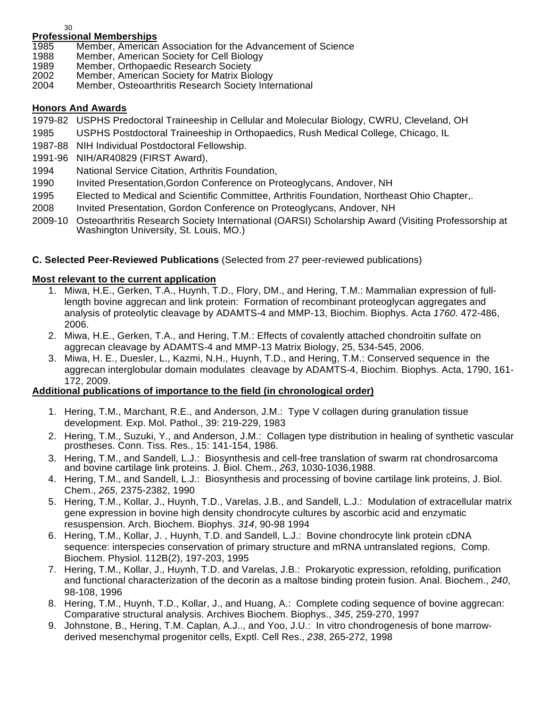30

# **Professional Memberships**

- 1985 Member, American Association for the Advancement of Science<br>1988 Member, American Society for Cell Biology
- Member, American Society for Cell Biology
- 1989 Member, Orthopaedic Research Society<br>2002 Member, American Society for Matrix Bio
- Member, American Society for Matrix Biology
- 2004 Member, Osteoarthritis Research Society International

#### **Honors And Awards**

- 1979-82 USPHS Predoctoral Traineeship in Cellular and Molecular Biology, CWRU, Cleveland, OH
- 1985 USPHS Postdoctoral Traineeship in Orthopaedics, Rush Medical College, Chicago, IL
- 1987-88 NIH Individual Postdoctoral Fellowship.
- 1991-96 NIH/AR40829 (FIRST Award),
- 1994 National Service Citation, Arthritis Foundation,
- 1990 Invited Presentation,Gordon Conference on Proteoglycans, Andover, NH
- 1995 Elected to Medical and Scientific Committee, Arthritis Foundation, Northeast Ohio Chapter,.
- 2008 Invited Presentation, Gordon Conference on Proteoglycans, Andover, NH
- 2009-10 Osteoarthritis Research Society International (OARSI) Scholarship Award (Visiting Professorship at Washington University, St. Louis, MO.)

## **C. Selected Peer-Reviewed Publications** (Selected from 27 peer-reviewed publications)

## **Most relevant to the current application**

- 1. Miwa, H.E., Gerken, T.A., Huynh, T.D., Flory, DM., and Hering, T.M.: Mammalian expression of fulllength bovine aggrecan and link protein: Formation of recombinant proteoglycan aggregates and analysis of proteolytic cleavage by ADAMTS-4 and MMP-13, Biochim. Biophys. Acta *1760*. 472-486, 2006.
- 2. Miwa, H.E., Gerken, T.A., and Hering, T.M.: Effects of covalently attached chondroitin sulfate on aggrecan cleavage by ADAMTS-4 and MMP-13 Matrix Biology, 25, 534-545, 2006.
- 3. Miwa, H. E., Duesler, L., Kazmi, N.H., Huynh, T.D., and Hering, T.M.: Conserved sequence in the aggrecan interglobular domain modulates cleavage by ADAMTS-4, Biochim. Biophys. Acta, 1790, 161- 172, 2009.

#### **Additional publications of importance to the field (in chronological order)**

- 1. Hering, T.M., Marchant, R.E., and Anderson, J.M.: Type V collagen during granulation tissue development. Exp. Mol. Pathol., 39: 219-229, 1983
- 2. Hering, T.M., Suzuki, Y., and Anderson, J.M.: Collagen type distribution in healing of synthetic vascular prostheses. Conn. Tiss. Res., 15: 141-154, 1986.
- 3. Hering, T.M., and Sandell, L.J.: Biosynthesis and cell-free translation of swarm rat chondrosarcoma and bovine cartilage link proteins. J. Biol. Chem., *263*, 1030-1036,1988.
- 4. Hering, T.M., and Sandell, L.J.: Biosynthesis and processing of bovine cartilage link proteins, J. Biol. Chem., *265*, 2375-2382, 1990
- 5. Hering, T.M., Kollar, J., Huynh, T.D., Varelas, J.B., and Sandell, L.J.: Modulation of extracellular matrix gene expression in bovine high density chondrocyte cultures by ascorbic acid and enzymatic resuspension. Arch. Biochem. Biophys. *314*, 90-98 1994
- 6. Hering, T.M., Kollar, J. , Huynh, T.D. and Sandell, L.J.: Bovine chondrocyte link protein cDNA sequence: interspecies conservation of primary structure and mRNA untranslated regions, Comp. Biochem. Physiol. 112B(2), 197-203, 1995
- 7. Hering, T.M., Kollar, J., Huynh, T.D. and Varelas, J.B.: Prokaryotic expression, refolding, purification and functional characterization of the decorin as a maltose binding protein fusion. Anal. Biochem., *240*, 98-108, 1996
- 8. Hering, T.M., Huynh, T.D., Kollar, J., and Huang, A.: Complete coding sequence of bovine aggrecan: Comparative structural analysis. Archives Biochem. Biophys., *345*, 259-270, 1997
- 9. Johnstone, B., Hering, T.M. Caplan, A.J.., and Yoo, J.U.: In vitro chondrogenesis of bone marrowderived mesenchymal progenitor cells, Exptl. Cell Res., *238*, 265-272, 1998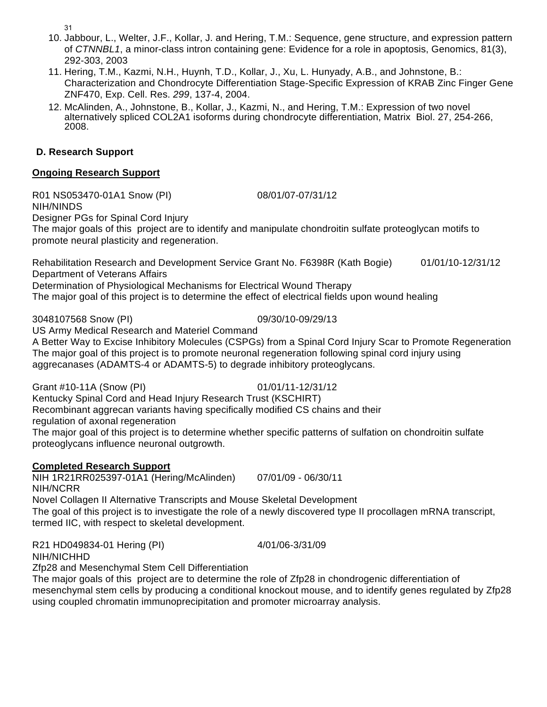31

- 10. Jabbour, L., Welter, J.F., Kollar, J. and Hering, T.M.: Sequence, gene structure, and expression pattern of *CTNNBL1*, a minor-class intron containing gene: Evidence for a role in apoptosis, Genomics, 81(3), 292-303, 2003
- 11. Hering, T.M., Kazmi, N.H., Huynh, T.D., Kollar, J., Xu, L. Hunyady, A.B., and Johnstone, B.: Characterization and Chondrocyte Differentiation Stage-Specific Expression of KRAB Zinc Finger Gene ZNF470, Exp. Cell. Res. *299*, 137-4, 2004.
- 12. McAlinden, A., Johnstone, B., Kollar, J., Kazmi, N., and Hering, T.M.: Expression of two novel alternatively spliced COL2A1 isoforms during chondrocyte differentiation, Matrix Biol. 27, 254-266, 2008.

# **D. Research Support**

# **Ongoing Research Support**

R01 NS053470-01A1 Snow (PI) 08/01/07-07/31/12 NIH/NINDS

Designer PGs for Spinal Cord Injury

The major goals of this project are to identify and manipulate chondroitin sulfate proteoglycan motifs to promote neural plasticity and regeneration.

Rehabilitation Research and Development Service Grant No. F6398R (Kath Bogie) 01/01/10-12/31/12 Department of Veterans Affairs

Determination of Physiological Mechanisms for Electrical Wound Therapy

The major goal of this project is to determine the effect of electrical fields upon wound healing

3048107568 Snow (PI) 09/30/10-09/29/13 US Army Medical Research and Materiel Command

A Better Way to Excise Inhibitory Molecules (CSPGs) from a Spinal Cord Injury Scar to Promote Regeneration The major goal of this project is to promote neuronal regeneration following spinal cord injury using aggrecanases (ADAMTS-4 or ADAMTS-5) to degrade inhibitory proteoglycans.

Grant #10-11A (Snow (PI) 01/01/11-12/31/12

Kentucky Spinal Cord and Head Injury Research Trust (KSCHIRT) Recombinant aggrecan variants having specifically modified CS chains and their

regulation of axonal regeneration

The major goal of this project is to determine whether specific patterns of sulfation on chondroitin sulfate proteoglycans influence neuronal outgrowth.

# **Completed Research Support**

NIH 1R21RR025397-01A1 (Hering/McAlinden) 07/01/09 - 06/30/11 NIH/NCRR

Novel Collagen II Alternative Transcripts and Mouse Skeletal Development The goal of this project is to investigate the role of a newly discovered type II procollagen mRNA transcript, termed IIC, with respect to skeletal development.

R21 HD049834-01 Hering (PI) 4/01/06-3/31/09 NIH/NICHHD

Zfp28 and Mesenchymal Stem Cell Differentiation

The major goals of this project are to determine the role of Zfp28 in chondrogenic differentiation of mesenchymal stem cells by producing a conditional knockout mouse, and to identify genes regulated by Zfp28 using coupled chromatin immunoprecipitation and promoter microarray analysis.